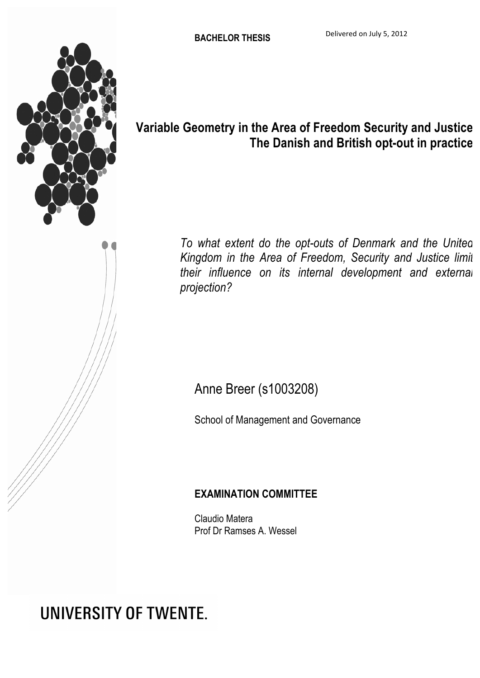

## **Variable Geometry in the Area of Freedom Security and Justice The Danish and British opt-out in practice**

*To what extent do the opt-outs of Denmark and the United Kingdom in the Area of Freedom, Security and Justice limit their influence on its internal development and external projection?*

## Anne Breer (s1003208)

School of Management and Governance

## **EXAMINATION COMMITTEE**

Claudio Matera Prof Dr Ramses A. Wessel

# **UNIVERSITY OF TWENTE.**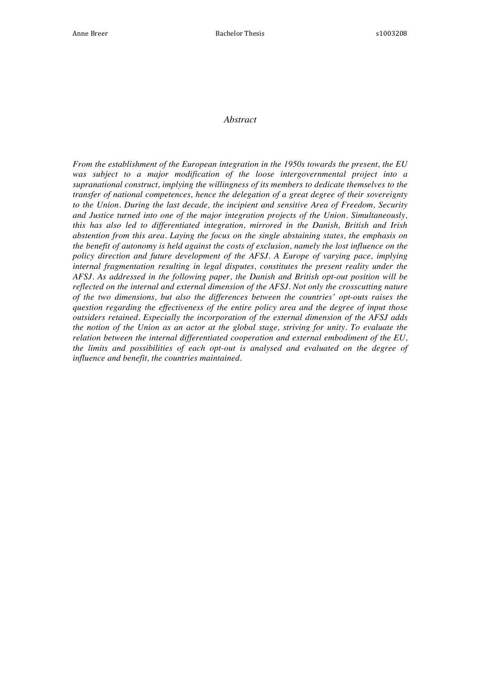#### *Abstract*

*From the establishment of the European integration in the 1950s towards the present, the EU was subject to a major modification of the loose intergovernmental project into a supranational construct, implying the willingness of its members to dedicate themselves to the transfer of national competences, hence the delegation of a great degree of their sovereignty to the Union. During the last decade, the incipient and sensitive Area of Freedom, Security and Justice turned into one of the major integration projects of the Union. Simultaneously, this has also led to differentiated integration, mirrored in the Danish, British and Irish abstention from this area. Laying the focus on the single abstaining states, the emphasis on the benefit of autonomy is held against the costs of exclusion, namely the lost influence on the policy direction and future development of the AFSJ. A Europe of varying pace, implying internal fragmentation resulting in legal disputes, constitutes the present reality under the AFSJ. As addressed in the following paper, the Danish and British opt-out position will be reflected on the internal and external dimension of the AFSJ. Not only the crosscutting nature of the two dimensions, but also the differences between the countries' opt-outs raises the question regarding the effectiveness of the entire policy area and the degree of input those outsiders retained. Especially the incorporation of the external dimension of the AFSJ adds the notion of the Union as an actor at the global stage, striving for unity. To evaluate the relation between the internal differentiated cooperation and external embodiment of the EU, the limits and possibilities of each opt-out is analysed and evaluated on the degree of influence and benefit, the countries maintained.*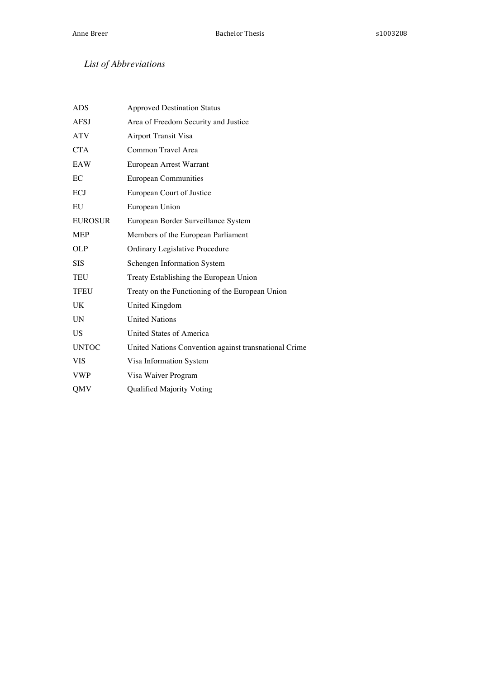### *List of Abbreviations*

| <b>ADS</b>     | <b>Approved Destination Status</b>                    |
|----------------|-------------------------------------------------------|
| <b>AFSJ</b>    | Area of Freedom Security and Justice                  |
| <b>ATV</b>     | Airport Transit Visa                                  |
| <b>CTA</b>     | Common Travel Area                                    |
| EAW            | European Arrest Warrant                               |
| EC             | <b>European Communities</b>                           |
| ECJ            | European Court of Justice                             |
| EU             | European Union                                        |
| <b>EUROSUR</b> | European Border Surveillance System                   |
| <b>MEP</b>     | Members of the European Parliament                    |
| OLP            | Ordinary Legislative Procedure                        |
| <b>SIS</b>     | Schengen Information System                           |
| TEU            | Treaty Establishing the European Union                |
| <b>TFEU</b>    | Treaty on the Functioning of the European Union       |
| UK             | United Kingdom                                        |
| <b>UN</b>      | <b>United Nations</b>                                 |
| <b>US</b>      | <b>United States of America</b>                       |
| <b>UNTOC</b>   | United Nations Convention against transnational Crime |
| <b>VIS</b>     | Visa Information System                               |
| <b>VWP</b>     | Visa Waiver Program                                   |
| QMV            | Qualified Majority Voting                             |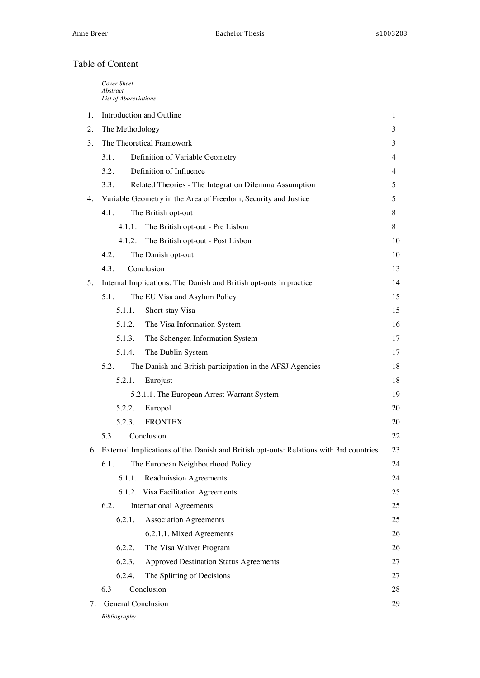#### Table of Content

|    | Cover Sheet<br>Abstract<br>List of Abbreviations                                          |    |
|----|-------------------------------------------------------------------------------------------|----|
| 1. | Introduction and Outline                                                                  |    |
| 2. | The Methodology                                                                           |    |
| 3. | The Theoretical Framework                                                                 |    |
|    | 3.1.<br>Definition of Variable Geometry                                                   | 4  |
|    | Definition of Influence<br>3.2.                                                           | 4  |
|    | 3.3.<br>Related Theories - The Integration Dilemma Assumption                             | 5  |
| 4. | Variable Geometry in the Area of Freedom, Security and Justice                            | 5  |
|    | 4.1.<br>The British opt-out                                                               | 8  |
|    | 4.1.1.<br>The British opt-out - Pre Lisbon                                                | 8  |
|    | The British opt-out - Post Lisbon<br>4.1.2.                                               | 10 |
|    | 4.2.<br>The Danish opt-out                                                                | 10 |
|    | 4.3.<br>Conclusion                                                                        | 13 |
| 5. | Internal Implications: The Danish and British opt-outs in practice                        | 14 |
|    | 5.1.<br>The EU Visa and Asylum Policy                                                     | 15 |
|    | 5.1.1.<br>Short-stay Visa                                                                 | 15 |
|    | 5.1.2.<br>The Visa Information System                                                     | 16 |
|    | 5.1.3.<br>The Schengen Information System                                                 | 17 |
|    | 5.1.4.<br>The Dublin System                                                               | 17 |
|    | 5.2.<br>The Danish and British participation in the AFSJ Agencies                         | 18 |
|    | 5.2.1.<br>Eurojust                                                                        | 18 |
|    | 5.2.1.1. The European Arrest Warrant System                                               |    |
|    | 5.2.2.<br>Europol                                                                         | 20 |
|    | <b>FRONTEX</b><br>5.2.3.                                                                  | 20 |
|    | Conclusion<br>5.3                                                                         | 22 |
|    | 6. External Implications of the Danish and British opt-outs: Relations with 3rd countries | 23 |
|    | 6.1.<br>The European Neighbourhood Policy                                                 | 24 |
|    | 6.1.1. Readmission Agreements                                                             | 24 |
|    | 6.1.2. Visa Facilitation Agreements                                                       | 25 |
|    | 6.2.<br><b>International Agreements</b>                                                   | 25 |
|    | 6.2.1.<br><b>Association Agreements</b>                                                   | 25 |
|    | 6.2.1.1. Mixed Agreements                                                                 | 26 |
|    | 6.2.2.<br>The Visa Waiver Program                                                         | 26 |
|    | 6.2.3.<br><b>Approved Destination Status Agreements</b>                                   | 27 |
|    | 6.2.4.<br>The Splitting of Decisions                                                      | 27 |
|    | Conclusion<br>6.3                                                                         | 28 |
| 7. | <b>General Conclusion</b>                                                                 | 29 |
|    | Bibliography                                                                              |    |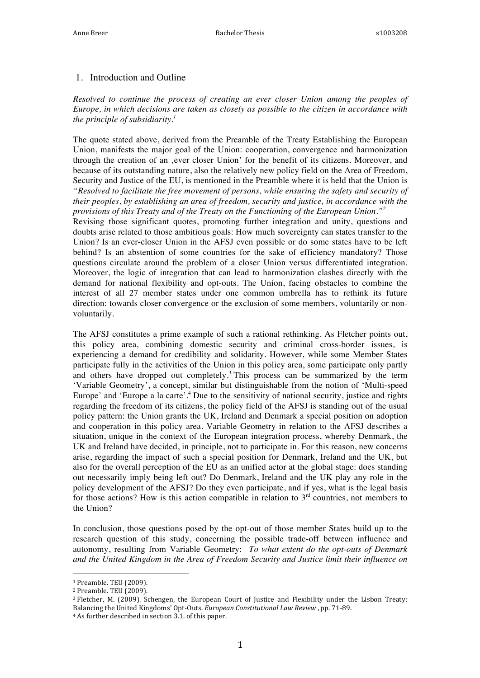#### 1. Introduction and Outline

*Resolved to continue the process of creating an ever closer Union among the peoples of Europe, in which decisions are taken as closely as possible to the citizen in accordance with the principle of subsidiarity.1*

The quote stated above, derived from the Preamble of the Treaty Establishing the European Union, manifests the major goal of the Union: cooperation, convergence and harmonization through the creation of an 'ever closer Union' for the benefit of its citizens. Moreover, and because of its outstanding nature, also the relatively new policy field on the Area of Freedom, Security and Justice of the EU, is mentioned in the Preamble where it is held that the Union is *"Resolved to facilitate the free movement of persons, while ensuring the safety and security of their peoples, by establishing an area of freedom, security and justice, in accordance with the provisions of this Treaty and of the Treaty on the Functioning of the European Union."<sup>2</sup>*

Revising those significant quotes, promoting further integration and unity, questions and doubts arise related to those ambitious goals: How much sovereignty can states transfer to the Union? Is an ever-closer Union in the AFSJ even possible or do some states have to be left behind? Is an abstention of some countries for the sake of efficiency mandatory? Those questions circulate around the problem of a closer Union versus differentiated integration. Moreover, the logic of integration that can lead to harmonization clashes directly with the demand for national flexibility and opt-outs. The Union, facing obstacles to combine the interest of all 27 member states under one common umbrella has to rethink its future direction: towards closer convergence or the exclusion of some members, voluntarily or nonvoluntarily.

The AFSJ constitutes a prime example of such a rational rethinking. As Fletcher points out, this policy area, combining domestic security and criminal cross-border issues, is experiencing a demand for credibility and solidarity. However, while some Member States participate fully in the activities of the Union in this policy area, some participate only partly and others have dropped out completely.<sup>3</sup> This process can be summarized by the term 'Variable Geometry', a concept, similar but distinguishable from the notion of 'Multi-speed Europe' and 'Europe a la carte'.<sup>4</sup> Due to the sensitivity of national security, justice and rights regarding the freedom of its citizens, the policy field of the AFSJ is standing out of the usual policy pattern: the Union grants the UK, Ireland and Denmark a special position on adoption and cooperation in this policy area. Variable Geometry in relation to the AFSJ describes a situation, unique in the context of the European integration process, whereby Denmark, the UK and Ireland have decided, in principle, not to participate in. For this reason, new concerns arise, regarding the impact of such a special position for Denmark, Ireland and the UK, but also for the overall perception of the EU as an unified actor at the global stage: does standing out necessarily imply being left out? Do Denmark, Ireland and the UK play any role in the policy development of the AFSJ? Do they even participate, and if yes, what is the legal basis for those actions? How is this action compatible in relation to  $3<sup>rd</sup>$  countries, not members to the Union?

In conclusion, those questions posed by the opt-out of those member States build up to the research question of this study, concerning the possible trade-off between influence and autonomy, resulting from Variable Geometry: *To what extent do the opt-outs of Denmark and the United Kingdom in the Area of Freedom Security and Justice limit their influence on* 

<sup>&</sup>lt;sup>1</sup> Preamble. TEU (2009).

<sup>&</sup>lt;sup>2</sup> Preamble. TEU (2009).

<sup>&</sup>lt;sup>3</sup> Fletcher, M. (2009). Schengen, the European Court of Justice and Flexibility under the Lisbon Treaty: Balancing the United Kingdoms' Opt-Outs. *European Constitutional Law Review*, pp. 71-89.

<sup>&</sup>lt;sup>4</sup> As further described in section 3.1. of this paper.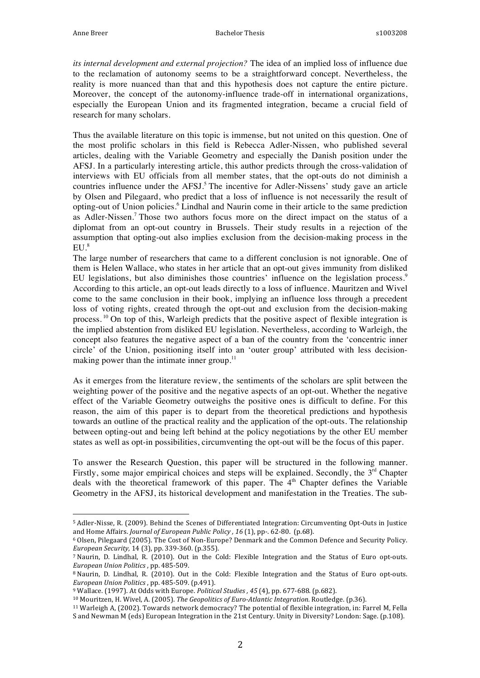*its internal development and external projection?* The idea of an implied loss of influence due to the reclamation of autonomy seems to be a straightforward concept. Nevertheless, the reality is more nuanced than that and this hypothesis does not capture the entire picture. Moreover, the concept of the autonomy-influence trade-off in international organizations, especially the European Union and its fragmented integration, became a crucial field of research for many scholars.

Thus the available literature on this topic is immense, but not united on this question. One of the most prolific scholars in this field is Rebecca Adler-Nissen, who published several articles, dealing with the Variable Geometry and especially the Danish position under the AFSJ. In a particularly interesting article, this author predicts through the cross-validation of interviews with EU officials from all member states, that the opt-outs do not diminish a countries influence under the AFSJ.<sup>5</sup> The incentive for Adler-Nissens' study gave an article by Olsen and Pilegaard, who predict that a loss of influence is not necessarily the result of opting-out of Union policies.<sup>6</sup> Lindhal and Naurin come in their article to the same prediction as Adler-Nissen.<sup>7</sup> Those two authors focus more on the direct impact on the status of a diplomat from an opt-out country in Brussels. Their study results in a rejection of the assumption that opting-out also implies exclusion from the decision-making process in the  $EU.<sup>8</sup>$ 

The large number of researchers that came to a different conclusion is not ignorable. One of them is Helen Wallace, who states in her article that an opt-out gives immunity from disliked EU legislations, but also diminishes those countries' influence on the legislation process.<sup>9</sup> According to this article, an opt-out leads directly to a loss of influence. Mauritzen and Wivel come to the same conclusion in their book, implying an influence loss through a precedent loss of voting rights, created through the opt-out and exclusion from the decision-making process.<sup>10</sup> On top of this, Warleigh predicts that the positive aspect of flexible integration is the implied abstention from disliked EU legislation. Nevertheless, according to Warleigh, the concept also features the negative aspect of a ban of the country from the 'concentric inner circle' of the Union, positioning itself into an 'outer group' attributed with less decisionmaking power than the intimate inner group. $11$ 

As it emerges from the literature review, the sentiments of the scholars are split between the weighting power of the positive and the negative aspects of an opt-out. Whether the negative effect of the Variable Geometry outweighs the positive ones is difficult to define. For this reason, the aim of this paper is to depart from the theoretical predictions and hypothesis towards an outline of the practical reality and the application of the opt-outs. The relationship between opting-out and being left behind at the policy negotiations by the other EU member states as well as opt-in possibilities, circumventing the opt-out will be the focus of this paper.

To answer the Research Question, this paper will be structured in the following manner. Firstly, some major empirical choices and steps will be explained. Secondly, the  $3<sup>rd</sup>$  Chapter deals with the theoretical framework of this paper. The  $4<sup>th</sup>$  Chapter defines the Variable Geometry in the AFSJ, its historical development and manifestation in the Treaties. The sub-

<sup>&</sup>lt;sup>5</sup> Adler-Nisse, R. (2009). Behind the Scenes of Differentiated Integration: Circumventing Opt-Outs in Justice and Home Affairs. *Journal of European Public Policy* , 16 (1), pp-. 62-80. (p.68).

<sup>&</sup>lt;sup>6</sup> Olsen, Pilegaard (2005). The Cost of Non-Europe? Denmark and the Common Defence and Security Policy. *European Security,* 14 (3), pp. 339-360. (p.355).

<sup>7</sup> Naurin, D. Lindhal, R. (2010). Out in the Cold: Flexible Integration and the Status of Euro opt-outs. *European Union Politics* , pp. 485-509.

<sup>&</sup>lt;sup>8</sup> Naurin, D. Lindhal, R. (2010). Out in the Cold: Flexible Integration and the Status of Euro opt-outs. *European Union Politics*, pp. 485-509. (p.491).

<sup>&</sup>lt;sup>9</sup> Wallace. (1997). At Odds with Europe. *Political Studies* , 45 (4), pp. 677-688. (p.682).

<sup>&</sup>lt;sup>10</sup> Mouritzen, H. Wivel, A. (2005). *The Geopolitics of Euro-Atlantic Integration*. Routledge. (p.36).

<sup>&</sup>lt;sup>11</sup> Warleigh A, (2002). Towards network democracy? The potential of flexible integration, in: Farrel M, Fella S and Newman M (eds) European Integration in the 21st Century. Unity in Diversity? London: Sage. (p.108).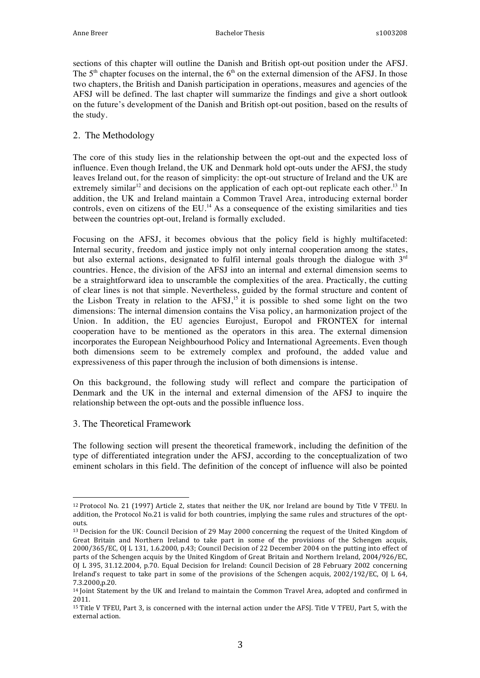sections of this chapter will outline the Danish and British opt-out position under the AFSJ. The  $5<sup>th</sup>$  chapter focuses on the internal, the  $6<sup>th</sup>$  on the external dimension of the AFSJ. In those two chapters, the British and Danish participation in operations, measures and agencies of the AFSJ will be defined. The last chapter will summarize the findings and give a short outlook on the future's development of the Danish and British opt-out position, based on the results of the study.

#### 2. The Methodology

The core of this study lies in the relationship between the opt-out and the expected loss of influence. Even though Ireland, the UK and Denmark hold opt-outs under the AFSJ, the study leaves Ireland out, for the reason of simplicity: the opt-out structure of Ireland and the UK are extremely similar<sup>12</sup> and decisions on the application of each opt-out replicate each other.<sup>13</sup> In addition, the UK and Ireland maintain a Common Travel Area, introducing external border controls, even on citizens of the EU.<sup>14</sup> As a consequence of the existing similarities and ties between the countries opt-out, Ireland is formally excluded.

Focusing on the AFSJ, it becomes obvious that the policy field is highly multifaceted: Internal security, freedom and justice imply not only internal cooperation among the states, but also external actions, designated to fulfil internal goals through the dialogue with  $3<sup>rd</sup>$ countries. Hence, the division of the AFSJ into an internal and external dimension seems to be a straightforward idea to unscramble the complexities of the area. Practically, the cutting of clear lines is not that simple. Nevertheless, guided by the formal structure and content of the Lisbon Treaty in relation to the AFSJ,<sup>15</sup> it is possible to shed some light on the two dimensions: The internal dimension contains the Visa policy, an harmonization project of the Union. In addition, the EU agencies Eurojust, Europol and FRONTEX for internal cooperation have to be mentioned as the operators in this area. The external dimension incorporates the European Neighbourhood Policy and International Agreements. Even though both dimensions seem to be extremely complex and profound, the added value and expressiveness of this paper through the inclusion of both dimensions is intense.

On this background, the following study will reflect and compare the participation of Denmark and the UK in the internal and external dimension of the AFSJ to inquire the relationship between the opt-outs and the possible influence loss.

3. The Theoretical Framework

 

The following section will present the theoretical framework, including the definition of the type of differentiated integration under the AFSJ, according to the conceptualization of two eminent scholars in this field. The definition of the concept of influence will also be pointed

<sup>&</sup>lt;sup>12</sup> Protocol No. 21 (1997) Article 2, states that neither the UK, nor Ireland are bound by Title V TFEU. In addition, the Protocol No.21 is valid for both countries, implying the same rules and structures of the optouts.

<sup>&</sup>lt;sup>13</sup> Decision for the UK: Council Decision of 29 May 2000 concerning the request of the United Kingdom of Great Britain and Northern Ireland to take part in some of the provisions of the Schengen acquis, 2000/365/EC, OJ L 131, 1.6.2000, p.43; Council Decision of 22 December 2004 on the putting into effect of parts of the Schengen acquis by the United Kingdom of Great Britain and Northern Ireland, 2004/926/EC, OJ L 395, 31.12.2004, p.70. Equal Decision for Ireland: Council Decision of 28 February 2002 concerning Ireland's request to take part in some of the provisions of the Schengen acquis,  $2002/192/EC$ , OJ L 64, 7.3.2000,p.20.

<sup>&</sup>lt;sup>14</sup> Joint Statement by the UK and Ireland to maintain the Common Travel Area, adopted and confirmed in 2011.

<sup>&</sup>lt;sup>15</sup> Title V TFEU, Part 3, is concerned with the internal action under the AFSJ. Title V TFEU, Part 5, with the external action.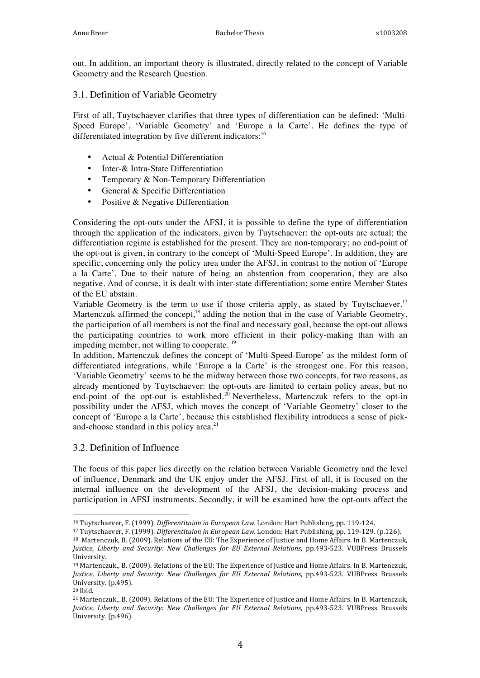out. In addition, an important theory is illustrated, directly related to the concept of Variable Geometry and the Research Question.

3.1. Definition of Variable Geometry

First of all, Tuytschaever clarifies that three types of differentiation can be defined: 'Multi-Speed Europe', 'Variable Geometry' and 'Europe a la Carte'. He defines the type of differentiated integration by five different indicators:<sup>16</sup>

- Actual & Potential Differentiation
- Inter-& Intra-State Differentiation
- Temporary & Non-Temporary Differentiation
- General & Specific Differentiation
- Positive & Negative Differentiation

Considering the opt-outs under the AFSJ, it is possible to define the type of differentiation through the application of the indicators, given by Tuytschaever: the opt-outs are actual; the differentiation regime is established for the present. They are non-temporary; no end-point of the opt-out is given, in contrary to the concept of 'Multi-Speed Europe'. In addition, they are specific, concerning only the policy area under the AFSJ, in contrast to the notion of 'Europe a la Carte'. Due to their nature of being an abstention from cooperation, they are also negative. And of course, it is dealt with inter-state differentiation; some entire Member States of the EU abstain.

Variable Geometry is the term to use if those criteria apply, as stated by Tuytschaever.<sup>17</sup> Martenczuk affirmed the concept,<sup>18</sup> adding the notion that in the case of Variable Geometry, the participation of all members is not the final and necessary goal, because the opt-out allows the participating countries to work more efficient in their policy-making than with an impeding member, not willing to cooperate.<sup>19</sup>

In addition, Martenczuk defines the concept of 'Multi-Speed-Europe' as the mildest form of differentiated integrations, while 'Europe a la Carte' is the strongest one. For this reason, 'Variable Geometry' seems to be the midway between those two concepts, for two reasons, as already mentioned by Tuytschaever: the opt-outs are limited to certain policy areas, but no end-point of the opt-out is established.<sup>20</sup> Nevertheless, Martenczuk refers to the opt-in possibility under the AFSJ, which moves the concept of 'Variable Geometry' closer to the concept of 'Europe a la Carte', because this established flexibility introduces a sense of pickand-choose standard in this policy area.<sup>21</sup>

#### 3.2. Definition of Influence

 

The focus of this paper lies directly on the relation between Variable Geometry and the level of influence, Denmark and the UK enjoy under the AFSJ. First of all, it is focused on the internal influence on the development of the AFSJ, the decision-making process and participation in AFSJ instruments. Secondly, it will be examined how the opt-outs affect the

<sup>17</sup> Tuytschaever, F. (1999). *Differentitaion in European Law.* London: Hart Publishing, pp. 119-129. (p.126).

<sup>18</sup> Martenczuk, B. (2009). Relations of the EU: The Experience of Justice and Home Affairs. In B. Martenczuk, *Justice, Liberty and Security: New Challenges for EU External Relations, pp.493-523. VUBPress Brussels* University.

<sup>20</sup> Ibid.

<sup>&</sup>lt;sup>16</sup> Tuytschaever, F. (1999). *Differentitaion in European Law.* London: Hart Publishing, pp. 119-124.

<sup>&</sup>lt;sup>19</sup> Martenczuk., B. (2009). Relations of the EU: The Experience of Justice and Home Affairs. In B. Martenczuk, *Justice, Liberty and Security: New Challenges for EU External Relations, pp.493-523. VUBPress Brussels* University. (p.495).

<sup>&</sup>lt;sup>21</sup> Martenczuk., B. (2009). Relations of the EU: The Experience of Justice and Home Affairs. In B. Martenczuk, *Justice, Liberty and Security: New Challenges for EU External Relations, pp.493-523. VUBPress Brussels* University. (p.496).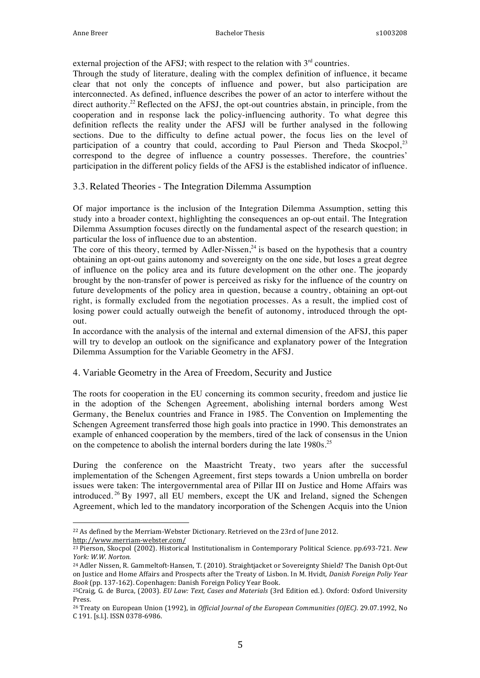external projection of the AFSJ; with respect to the relation with  $3<sup>rd</sup>$  countries.

Through the study of literature, dealing with the complex definition of influence, it became clear that not only the concepts of influence and power, but also participation are interconnected. As defined, influence describes the power of an actor to interfere without the direct authority.<sup>22</sup> Reflected on the AFSJ, the opt-out countries abstain, in principle, from the cooperation and in response lack the policy-influencing authority. To what degree this definition reflects the reality under the AFSJ will be further analysed in the following sections. Due to the difficulty to define actual power, the focus lies on the level of participation of a country that could, according to Paul Pierson and Theda Skocpol, $2<sup>3</sup>$ correspond to the degree of influence a country possesses. Therefore, the countries' participation in the different policy fields of the AFSJ is the established indicator of influence.

#### 3.3. Related Theories - The Integration Dilemma Assumption

Of major importance is the inclusion of the Integration Dilemma Assumption, setting this study into a broader context, highlighting the consequences an op-out entail. The Integration Dilemma Assumption focuses directly on the fundamental aspect of the research question; in particular the loss of influence due to an abstention.

The core of this theory, termed by Adler-Nissen,<sup>24</sup> is based on the hypothesis that a country obtaining an opt-out gains autonomy and sovereignty on the one side, but loses a great degree of influence on the policy area and its future development on the other one. The jeopardy brought by the non-transfer of power is perceived as risky for the influence of the country on future developments of the policy area in question, because a country, obtaining an opt-out right, is formally excluded from the negotiation processes. As a result, the implied cost of losing power could actually outweigh the benefit of autonomy, introduced through the optout.

In accordance with the analysis of the internal and external dimension of the AFSJ, this paper will try to develop an outlook on the significance and explanatory power of the Integration Dilemma Assumption for the Variable Geometry in the AFSJ.

#### 4. Variable Geometry in the Area of Freedom, Security and Justice

The roots for cooperation in the EU concerning its common security, freedom and justice lie in the adoption of the Schengen Agreement, abolishing internal borders among West Germany, the Benelux countries and France in 1985. The Convention on Implementing the Schengen Agreement transferred those high goals into practice in 1990. This demonstrates an example of enhanced cooperation by the members, tired of the lack of consensus in the Union on the competence to abolish the internal borders during the late 1980s.<sup>25</sup>

During the conference on the Maastricht Treaty, two years after the successful implementation of the Schengen Agreement, first steps towards a Union umbrella on border issues were taken: The intergovernmental area of Pillar III on Justice and Home Affairs was introduced. <sup>26</sup> By 1997, all EU members, except the UK and Ireland, signed the Schengen Agreement, which led to the mandatory incorporation of the Schengen Acquis into the Union

<sup>&</sup>lt;sup>22</sup> As defined by the Merriam-Webster Dictionary. Retrieved on the 23rd of June 2012. http://www.merriam-webster.com/

<sup>&</sup>lt;sup>23</sup> Pierson, Skocpol (2002). Historical Institutionalism in Contemporary Political Science. pp.693-721. *New York: W.W. Norton.*

<sup>&</sup>lt;sup>24</sup> Adler Nissen, R. Gammeltoft-Hansen, T. (2010). Straightjacket or Sovereignty Shield? The Danish Opt-Out on Justice and Home Affairs and Prospects after the Treaty of Lisbon. In M. Hvidt, *Danish Foreign Poliy Year* Book (pp. 137-162). Copenhagen: Danish Foreign Policy Year Book.

<sup>&</sup>lt;sup>25</sup>Craig, G. de Burca, (2003). *EU Law: Text, Cases and Materials* (3rd Edition ed.). Oxford: Oxford University Press.

<sup>&</sup>lt;sup>26</sup> Treaty on European Union (1992), in *Official Journal of the European Communities (OJEC)*. 29.07.1992, No C 191. [s.l.]. ISSN 0378-6986.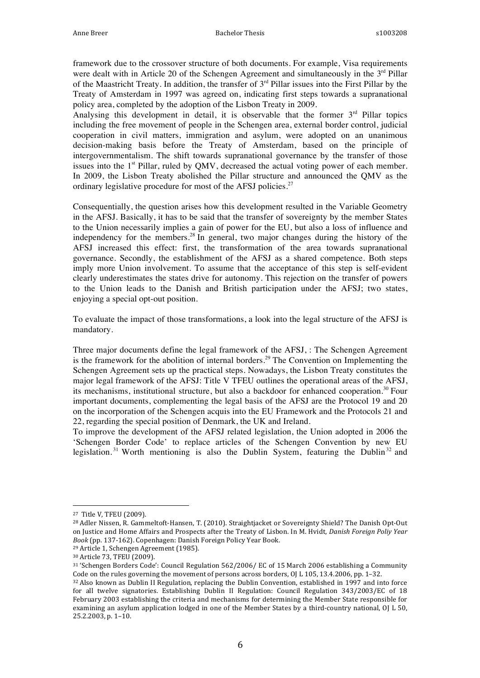framework due to the crossover structure of both documents. For example, Visa requirements were dealt with in Article 20 of the Schengen Agreement and simultaneously in the  $3<sup>rd</sup>$  Pillar of the Maastricht Treaty. In addition, the transfer of  $3<sup>rd</sup>$  Pillar issues into the First Pillar by the Treaty of Amsterdam in 1997 was agreed on, indicating first steps towards a supranational policy area, completed by the adoption of the Lisbon Treaty in 2009.

Analysing this development in detail, it is observable that the former  $3<sup>rd</sup>$  Pillar topics including the free movement of people in the Schengen area, external border control, judicial cooperation in civil matters, immigration and asylum, were adopted on an unanimous decision-making basis before the Treaty of Amsterdam, based on the principle of intergovernmentalism. The shift towards supranational governance by the transfer of those issues into the  $1<sup>st</sup>$  Pillar, ruled by QMV, decreased the actual voting power of each member. In 2009, the Lisbon Treaty abolished the Pillar structure and announced the QMV as the ordinary legislative procedure for most of the AFSJ policies.<sup>27</sup>

Consequentially, the question arises how this development resulted in the Variable Geometry in the AFSJ. Basically, it has to be said that the transfer of sovereignty by the member States to the Union necessarily implies a gain of power for the EU, but also a loss of influence and independency for the members.<sup>28</sup> In general, two major changes during the history of the AFSJ increased this effect: first, the transformation of the area towards supranational governance. Secondly, the establishment of the AFSJ as a shared competence. Both steps imply more Union involvement. To assume that the acceptance of this step is self-evident clearly underestimates the states drive for autonomy. This rejection on the transfer of powers to the Union leads to the Danish and British participation under the AFSJ; two states, enjoying a special opt-out position.

To evaluate the impact of those transformations, a look into the legal structure of the AFSJ is mandatory.

Three major documents define the legal framework of the AFSJ, : The Schengen Agreement is the framework for the abolition of internal borders.<sup>29</sup> The Convention on Implementing the Schengen Agreement sets up the practical steps. Nowadays, the Lisbon Treaty constitutes the major legal framework of the AFSJ: Title V TFEU outlines the operational areas of the AFSJ, its mechanisms, institutional structure, but also a backdoor for enhanced cooperation.<sup>30</sup> Four important documents, complementing the legal basis of the AFSJ are the Protocol 19 and 20 on the incorporation of the Schengen acquis into the EU Framework and the Protocols 21 and 22, regarding the special position of Denmark, the UK and Ireland.

To improve the development of the AFSJ related legislation, the Union adopted in 2006 the 'Schengen Border Code' to replace articles of the Schengen Convention by new EU legislation.<sup>31</sup> Worth mentioning is also the Dublin System, featuring the Dublin<sup>32</sup> and

<sup>&</sup>lt;sup>27</sup> Title V, TFEU (2009).

<sup>&</sup>lt;sup>28</sup> Adler Nissen, R. Gammeltoft-Hansen, T. (2010). Straightjacket or Sovereignty Shield? The Danish Opt-Out on Justice and Home Affairs and Prospects after the Treaty of Lisbon. In M. Hvidt, *Danish Foreign Poliy Year Book* (pp. 137-162). Copenhagen: Danish Foreign Policy Year Book.

<sup>&</sup>lt;sup>29</sup> Article 1, Schengen Agreement (1985).

<sup>&</sup>lt;sup>30</sup> Article 73, TFEU (2009).

<sup>31 &#</sup>x27;Schengen Borders Code': Council Regulation 562/2006/ EC of 15 March 2006 establishing a Community Code on the rules governing the movement of persons across borders,  $O/L 105$ , 13.4.2006, pp. 1–32.

<sup>32</sup> Also known as Dublin II Regulation, replacing the Dublin Convention, established in 1997 and into force for all twelve signatories. Establishing Dublin II Regulation: Council Regulation 343/2003/EC of 18 February 2003 establishing the criteria and mechanisms for determining the Member State responsible for examining an asylum application lodged in one of the Member States by a third-country national, OJ L 50, 25.2.2003, p. 1-10.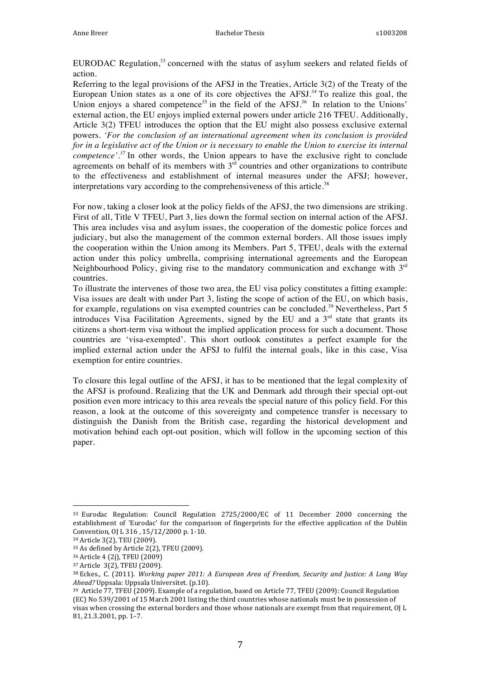EURODAC Regulation, $33$  concerned with the status of asylum seekers and related fields of action.

Referring to the legal provisions of the AFSJ in the Treaties, Article 3(2) of the Treaty of the European Union states as a one of its core objectives the AFSJ*. <sup>34</sup>* To realize this goal, the Union enjoys a shared competence<sup>35</sup> in the field of the AFSJ.<sup>36</sup> In relation to the Unions' external action, the EU enjoys implied external powers under article 216 TFEU. Additionally, Article 3(2) TFEU introduces the option that the EU might also possess exclusive external powers. *'For the conclusion of an international agreement when its conclusion is provided for in a legislative act of the Union or is necessary to enable the Union to exercise its internal competence'.<sup>37</sup>* In other words, the Union appears to have the exclusive right to conclude agreements on behalf of its members with  $3<sup>rd</sup>$  countries and other organizations to contribute to the effectiveness and establishment of internal measures under the AFSJ; however, interpretations vary according to the comprehensiveness of this article.<sup>38</sup>

For now, taking a closer look at the policy fields of the AFSJ, the two dimensions are striking. First of all, Title V TFEU, Part 3, lies down the formal section on internal action of the AFSJ. This area includes visa and asylum issues, the cooperation of the domestic police forces and judiciary, but also the management of the common external borders. All those issues imply the cooperation within the Union among its Members. Part 5, TFEU, deals with the external action under this policy umbrella, comprising international agreements and the European Neighbourhood Policy, giving rise to the mandatory communication and exchange with  $3<sup>rd</sup>$ countries.

To illustrate the intervenes of those two area, the EU visa policy constitutes a fitting example: Visa issues are dealt with under Part 3, listing the scope of action of the EU, on which basis, for example, regulations on visa exempted countries can be concluded.<sup>39</sup> Nevertheless, Part 5 introduces Visa Facilitation Agreements, signed by the EU and a  $3<sup>rd</sup>$  state that grants its citizens a short-term visa without the implied application process for such a document. Those countries are 'visa-exempted'. This short outlook constitutes a perfect example for the implied external action under the AFSJ to fulfil the internal goals, like in this case, Visa exemption for entire countries.

To closure this legal outline of the AFSJ, it has to be mentioned that the legal complexity of the AFSJ is profound. Realizing that the UK and Denmark add through their special opt-out position even more intricacy to this area reveals the special nature of this policy field. For this reason, a look at the outcome of this sovereignty and competence transfer is necessary to distinguish the Danish from the British case, regarding the historical development and motivation behind each opt-out position, which will follow in the upcoming section of this paper.

<sup>&</sup>lt;sup>33</sup> Eurodac Regulation: Council Regulation 2725/2000/EC of 11 December 2000 concerning the establishment of 'Eurodac' for the comparison of fingerprints for the effective application of the Dublin Convention, OJ L 316, 15/12/2000 p. 1-10.

<sup>34</sup> Article 3(2), TEU (2009).

<sup>&</sup>lt;sup>35</sup> As defined by Article 2(2), TFEU (2009).

<sup>36</sup> Article 4 (2j), TFEU (2009)

<sup>37</sup> Article 3(2), TFEU (2009).

<sup>&</sup>lt;sup>38</sup> Eckes., C. (2011). *Working paper 2011: A European Area of Freedom, Security and Justice: A Long Way* Ahead? Uppsala: Uppsala Universitet. (p.10).

<sup>&</sup>lt;sup>39</sup> Article 77, TFEU (2009). Example of a regulation, based on Article 77, TFEU (2009): Council Regulation (EC) No 539/2001 of 15 March 2001 listing the third countries whose nationals must be in possession of visas when crossing the external borders and those whose nationals are exempt from that requirement, OJ L 81, 21.3.2001, pp. 1-7.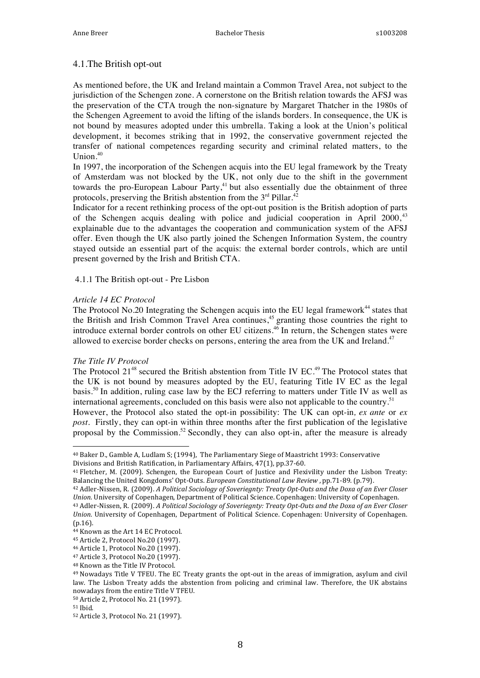#### 4.1.The British opt-out

As mentioned before, the UK and Ireland maintain a Common Travel Area, not subject to the jurisdiction of the Schengen zone. A cornerstone on the British relation towards the AFSJ was the preservation of the CTA trough the non-signature by Margaret Thatcher in the 1980s of the Schengen Agreement to avoid the lifting of the islands borders. In consequence, the UK is not bound by measures adopted under this umbrella. Taking a look at the Union's political development, it becomes striking that in 1992, the conservative government rejected the transfer of national competences regarding security and criminal related matters, to the Union $^{40}$ 

In 1997, the incorporation of the Schengen acquis into the EU legal framework by the Treaty of Amsterdam was not blocked by the UK, not only due to the shift in the government towards the pro-European Labour Party, $41$  but also essentially due the obtainment of three protocols, preserving the British abstention from the  $3<sup>rd</sup>$  Pillar.<sup>42</sup>

Indicator for a recent rethinking process of the opt-out position is the British adoption of parts of the Schengen acquis dealing with police and judicial cooperation in April  $2000<sup>{43}</sup>$ explainable due to the advantages the cooperation and communication system of the AFSJ offer. Even though the UK also partly joined the Schengen Information System, the country stayed outside an essential part of the acquis: the external border controls, which are until present governed by the Irish and British CTA.

#### 4.1.1 The British opt-out - Pre Lisbon

#### *Article 14 EC Protocol*

The Protocol No.20 Integrating the Schengen acquis into the EU legal framework<sup>44</sup> states that the British and Irish Common Travel Area continues,<sup>45</sup> granting those countries the right to introduce external border controls on other EU citizens.<sup>46</sup> In return, the Schengen states were allowed to exercise border checks on persons, entering the area from the UK and Ireland.<sup>47</sup>

#### *The Title IV Protocol*

The Protocol 21<sup>48</sup> secured the British abstention from Title IV EC.<sup>49</sup> The Protocol states that the UK is not bound by measures adopted by the EU, featuring Title IV EC as the legal basis.<sup>50</sup> In addition, ruling case law by the ECJ referring to matters under Title IV as well as international agreements, concluded on this basis were also not applicable to the country.<sup>51</sup> However, the Protocol also stated the opt-in possibility: The UK can opt-in*, ex ante* or *ex post*. Firstly, they can opt-in within three months after the first publication of the legislative proposal by the Commission.<sup>52</sup> Secondly, they can also opt-in, after the measure is already

<sup>&</sup>lt;sup>40</sup> Baker D., Gamble A, Ludlam S; (1994), The Parliamentary Siege of Maastricht 1993: Conservative Divisions and British Ratification, in Parliamentary Affairs, 47(1), pp.37-60.

<sup>&</sup>lt;sup>41</sup> Fletcher, M. (2009). Schengen, the European Court of Justice and Flexivility under the Lisbon Treaty: Balancing the United Kongdoms' Opt-Outs. *European Constitutional Law Review* , pp.71-89. (p.79).

<sup>42</sup> Adler-Nissen, R. (2009). *A Political Sociology of Soveriegnty: Treaty Opt-Outs and the Doxa of an Ever Closer Union.* University of Copenhagen, Department of Political Science. Copenhagen: University of Copenhagen.

<sup>43</sup> Adler-Nissen, R. (2009). *A Political Sociology of Soveriegnty: Treaty Opt-Outs and the Doxa of an Ever Closer Union.* University of Copenhagen, Department of Political Science. Copenhagen: University of Copenhagen. (p.16).

<sup>44</sup> Known as the Art 14 EC Protocol.

<sup>45</sup> Article 2, Protocol No.20 (1997).

<sup>46</sup> Article 1, Protocol No.20 (1997).

<sup>47</sup> Article 3, Protocol No.20 (1997).

<sup>48</sup> Known as the Title IV Protocol.

<sup>&</sup>lt;sup>49</sup> Nowadays Title V TFEU. The EC Treaty grants the opt-out in the areas of immigration, asylum and civil law. The Lisbon Treaty adds the abstention from policing and criminal law. Therefore, the UK abstains nowadays from the entire Title V TFEU.

<sup>50</sup> Article 2, Protocol No. 21 (1997).

<sup>51</sup> Ibid.

<sup>52</sup> Article 3, Protocol No. 21 (1997).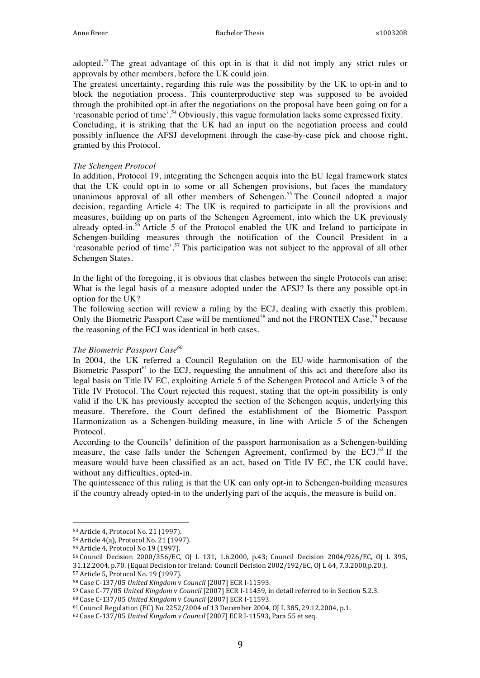adopted.<sup>53</sup> The great advantage of this opt-in is that it did not imply any strict rules or approvals by other members, before the UK could join.

The greatest uncertainty, regarding this rule was the possibility by the UK to opt-in and to block the negotiation process. This counterproductive step was supposed to be avoided through the prohibited opt-in after the negotiations on the proposal have been going on for a 'reasonable period of time'.<sup>54</sup> Obviously, this vague formulation lacks some expressed fixity.

Concluding, it is striking that the UK had an input on the negotiation process and could possibly influence the AFSJ development through the case-by-case pick and choose right, granted by this Protocol.

#### *The Schengen Protocol*

In addition, Protocol 19, integrating the Schengen acquis into the EU legal framework states that the UK could opt-in to some or all Schengen provisions, but faces the mandatory unanimous approval of all other members of Schengen.<sup>55</sup> The Council adopted a major decision, regarding Article 4: The UK is required to participate in all the provisions and measures, building up on parts of the Schengen Agreement, into which the UK previously already opted-in.<sup>56</sup> Article 5 of the Protocol enabled the UK and Ireland to participate in Schengen-building measures through the notification of the Council President in a 'reasonable period of time'.<sup>57</sup> This participation was not subject to the approval of all other Schengen States.

In the light of the foregoing, it is obvious that clashes between the single Protocols can arise: What is the legal basis of a measure adopted under the AFSJ? Is there any possible opt-in option for the UK?

The following section will review a ruling by the ECJ, dealing with exactly this problem. Only the Biometric Passport Case will be mentioned<sup>58</sup> and not the FRONTEX Case,<sup>59</sup> because the reasoning of the ECJ was identical in both cases.

#### *The Biometric Passport Case<sup>60</sup>*

In 2004, the UK referred a Council Regulation on the EU-wide harmonisation of the Biometric Passport<sup>61</sup> to the ECJ, requesting the annulment of this act and therefore also its legal basis on Title IV EC, exploiting Article 5 of the Schengen Protocol and Article 3 of the Title IV Protocol. The Court rejected this request, stating that the opt-in possibility is only valid if the UK has previously accepted the section of the Schengen acquis, underlying this measure. Therefore, the Court defined the establishment of the Biometric Passport Harmonization as a Schengen-building measure, in line with Article 5 of the Schengen Protocol.

According to the Councils' definition of the passport harmonisation as a Schengen-building measure, the case falls under the Schengen Agreement, confirmed by the  $ECJ<sup>62</sup>$  If the measure would have been classified as an act, based on Title IV EC, the UK could have, without any difficulties, opted-in.

The quintessence of this ruling is that the UK can only opt-in to Schengen-building measures if the country already opted-in to the underlying part of the acquis, the measure is build on.

 53 Article 4, Protocol No. 21 (1997).

<sup>54</sup> Article 4(a), Protocol No. 21 (1997).

<sup>55</sup> Article 4, Protocol No 19 (1997).

<sup>56</sup> Council Decision 2000/356/EC, OJ L 131, 1.6.2000, p.43; Council Decision 2004/926/EC, OJ L 395, 

<sup>31.12.2004,</sup> p.70. (Equal Decision for Ireland: Council Decision 2002/192/EC, OJ L 64, 7.3.2000,p.20.).

<sup>57</sup> Article 5, Protocol No. 19 (1997).

<sup>58</sup> Case C-137/05 *United Kingdom* v *Council* [2007] ECR I-11593.

<sup>&</sup>lt;sup>59</sup> Case C-77/05 *United Kingdom v Council* [2007] ECR I-11459, in detail referred to in Section 5.2.3.

<sup>60</sup> Case C-137/05 *United Kingdom* v *Council* [2007] ECR I-11593.

 $61$  Council Regulation (EC) No 2252/2004 of 13 December 2004, OJ L 385, 29.12.2004, p.1.

<sup>&</sup>lt;sup>62</sup> Case C-137/05 United Kingdom v Council [2007] ECR I-11593, Para 55 et seq.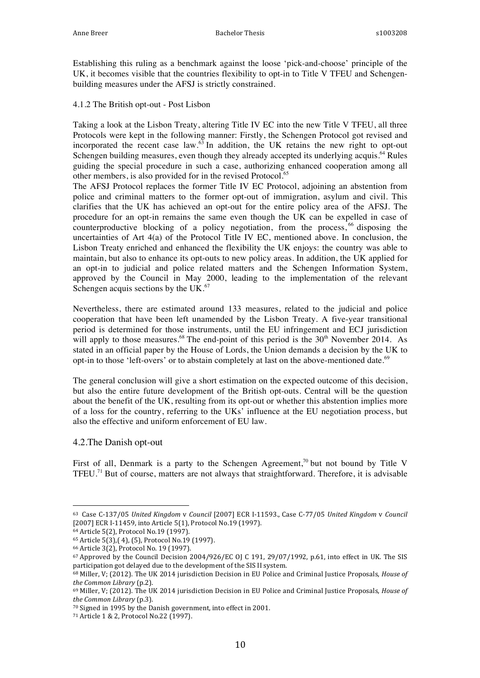Establishing this ruling as a benchmark against the loose 'pick-and-choose' principle of the UK, it becomes visible that the countries flexibility to opt-in to Title V TFEU and Schengenbuilding measures under the AFSJ is strictly constrained.

4.1.2 The British opt-out - Post Lisbon

Taking a look at the Lisbon Treaty, altering Title IV EC into the new Title V TFEU, all three Protocols were kept in the following manner: Firstly, the Schengen Protocol got revised and incorporated the recent case law. $63$  In addition, the UK retains the new right to opt-out Schengen building measures, even though they already accepted its underlying acquis.<sup>64</sup> Rules guiding the special procedure in such a case, authorizing enhanced cooperation among all other members, is also provided for in the revised Protocol.<sup>65</sup>

The AFSJ Protocol replaces the former Title IV EC Protocol, adjoining an abstention from police and criminal matters to the former opt-out of immigration, asylum and civil. This clarifies that the UK has achieved an opt-out for the entire policy area of the AFSJ. The procedure for an opt-in remains the same even though the UK can be expelled in case of counterproductive blocking of a policy negotiation, from the process,  $66$  disposing the uncertainties of Art 4(a) of the Protocol Title IV EC, mentioned above. In conclusion, the Lisbon Treaty enriched and enhanced the flexibility the UK enjoys: the country was able to maintain, but also to enhance its opt-outs to new policy areas. In addition, the UK applied for an opt-in to judicial and police related matters and the Schengen Information System, approved by the Council in May 2000, leading to the implementation of the relevant Schengen acquis sections by the UK.<sup>67</sup>

Nevertheless, there are estimated around 133 measures, related to the judicial and police cooperation that have been left unamended by the Lisbon Treaty. A five-year transitional period is determined for those instruments, until the EU infringement and ECJ jurisdiction will apply to those measures.<sup>68</sup> The end-point of this period is the  $30<sup>th</sup>$  November 2014. As stated in an official paper by the House of Lords, the Union demands a decision by the UK to opt-in to those 'left-overs' or to abstain completely at last on the above-mentioned date.<sup>69</sup>

The general conclusion will give a short estimation on the expected outcome of this decision, but also the entire future development of the British opt-outs. Central will be the question about the benefit of the UK, resulting from its opt-out or whether this abstention implies more of a loss for the country, referring to the UKs' influence at the EU negotiation process, but also the effective and uniform enforcement of EU law.

#### 4.2.The Danish opt-out

First of all, Denmark is a party to the Schengen Agreement,<sup>70</sup> but not bound by Title V TFEU.<sup>71</sup> But of course, matters are not always that straightforward. Therefore, it is advisable

<sup>63</sup> Case C-137/05 *United Kingdom* v *Council* [2007] ECR I-11593., Case C-77/05 *United Kingdom* v *Council*  [2007] ECR I-11459, into Article 5(1), Protocol No.19 (1997).

<sup>64</sup> Article 5(2), Protocol No.19 (1997).

<sup>65</sup> Article 5(3), (4), (5), Protocol No.19 (1997).

<sup>66</sup> Article 3(2), Protocol No. 19 (1997).

 $67$  Approved by the Council Decision 2004/926/EC OJ C 191, 29/07/1992, p.61, into effect in UK. The SIS participation got delayed due to the development of the SIS II system.

<sup>&</sup>lt;sup>68</sup> Miller, V; (2012). The UK 2014 jurisdiction Decision in EU Police and Criminal Justice Proposals, *House of the Common Library* (p.2).

<sup>69</sup> Miller, V; (2012). The UK 2014 jurisdiction Decision in EU Police and Criminal Justice Proposals, *House of the Common Library* (p.3).

 $70$  Signed in 1995 by the Danish government, into effect in 2001.

<sup>71</sup> Article 1 & 2, Protocol No.22 (1997).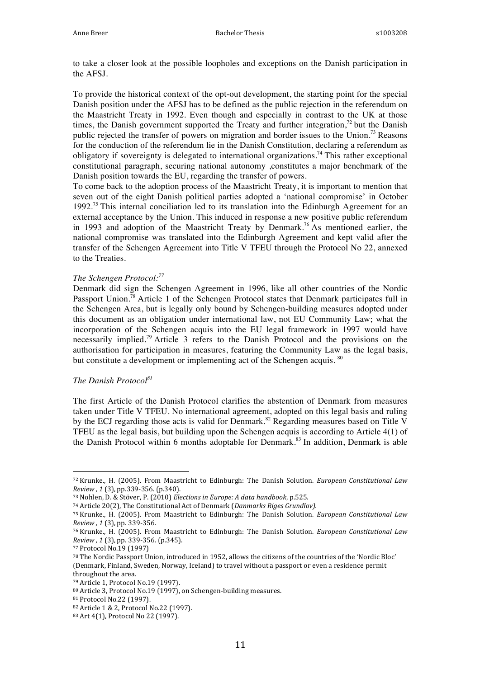to take a closer look at the possible loopholes and exceptions on the Danish participation in the AFSJ.

To provide the historical context of the opt-out development, the starting point for the special Danish position under the AFSJ has to be defined as the public rejection in the referendum on the Maastricht Treaty in 1992. Even though and especially in contrast to the UK at those times, the Danish government supported the Treaty and further integration, $72$  but the Danish public rejected the transfer of powers on migration and border issues to the Union.<sup>73</sup> Reasons for the conduction of the referendum lie in the Danish Constitution, declaring a referendum as obligatory if sovereignty is delegated to international organizations.<sup>74</sup> This rather exceptional constitutional paragraph, securing national autonomy ,constitutes a major benchmark of the Danish position towards the EU, regarding the transfer of powers.

To come back to the adoption process of the Maastricht Treaty, it is important to mention that seven out of the eight Danish political parties adopted a 'national compromise' in October 1992.<sup>75</sup> This internal conciliation led to its translation into the Edinburgh Agreement for an external acceptance by the Union. This induced in response a new positive public referendum in 1993 and adoption of the Maastricht Treaty by Denmark.<sup>76</sup> As mentioned earlier, the national compromise was translated into the Edinburgh Agreement and kept valid after the transfer of the Schengen Agreement into Title V TFEU through the Protocol No 22, annexed to the Treaties.

#### *The Schengen Protocol:<sup>77</sup>*

Denmark did sign the Schengen Agreement in 1996, like all other countries of the Nordic Passport Union.<sup>78</sup> Article 1 of the Schengen Protocol states that Denmark participates full in the Schengen Area, but is legally only bound by Schengen-building measures adopted under this document as an obligation under international law, not EU Community Law; what the incorporation of the Schengen acquis into the EU legal framework in 1997 would have necessarily implied.<sup>79</sup> Article 3 refers to the Danish Protocol and the provisions on the authorisation for participation in measures, featuring the Community Law as the legal basis, but constitute a development or implementing act of the Schengen acquis. <sup>80</sup>

#### *The Danish Protocol81*

The first Article of the Danish Protocol clarifies the abstention of Denmark from measures taken under Title V TFEU. No international agreement, adopted on this legal basis and ruling by the ECJ regarding those acts is valid for Denmark.<sup>82</sup> Regarding measures based on Title V TFEU as the legal basis, but building upon the Schengen acquis is according to Article 4(1) of the Danish Protocol within 6 months adoptable for Denmark.<sup>83</sup> In addition, Denmark is able

<sup>72</sup> Krunke., H. (2005). From Maastricht to Edinburgh: The Danish Solution. *European Constitutional Law Review , 1* (3), pp.339-356. (p.340).

<sup>73</sup> Nohlen, D. & Stöver, P. (2010) *Elections in Europe: A data handbook*, p.525.

<sup>74</sup> Article 20(2), The Constitutional Act of Denmark (*Danmarks Riges Grundlov*).

<sup>75</sup> Krunke., H. (2005). From Maastricht to Edinburgh: The Danish Solution. *European Constitutional Law Review , 1* (3), pp. 339-356.

<sup>76</sup> Krunke., H. (2005). From Maastricht to Edinburgh: The Danish Solution. *European Constitutional Law Review, 1* (3), pp. 339-356. (p.345).

<sup>77</sup> Protocol No.19 (1997)

<sup>78</sup> The Nordic Passport Union, introduced in 1952, allows the citizens of the countries of the 'Nordic Bloc' (Denmark, Finland, Sweden, Norway, Iceland) to travel without a passport or even a residence permit throughout the area.

<sup>79</sup> Article 1, Protocol No.19 (1997).

<sup>80</sup> Article 3, Protocol No.19 (1997), on Schengen-building measures.

<sup>81</sup> Protocol No.22 (1997).

<sup>82</sup> Article 1 & 2, Protocol No.22 (1997).

<sup>83</sup> Art 4(1), Protocol No 22 (1997).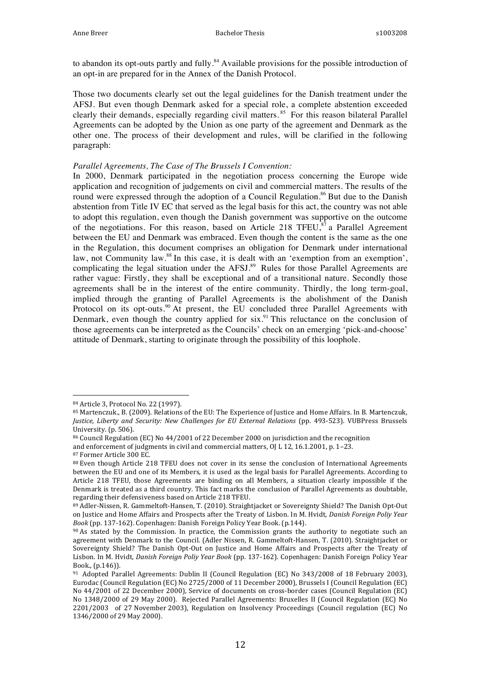to abandon its opt-outs partly and fully.<sup>84</sup> Available provisions for the possible introduction of an opt-in are prepared for in the Annex of the Danish Protocol.

Those two documents clearly set out the legal guidelines for the Danish treatment under the AFSJ. But even though Denmark asked for a special role, a complete abstention exceeded clearly their demands, especially regarding civil matters. 85 For this reason bilateral Parallel Agreements can be adopted by the Union as one party of the agreement and Denmark as the other one. The process of their development and rules, will be clarified in the following paragraph:

#### *Parallel Agreements, The Case of The Brussels I Convention:*

In 2000, Denmark participated in the negotiation process concerning the Europe wide application and recognition of judgements on civil and commercial matters. The results of the round were expressed through the adoption of a Council Regulation.<sup>86</sup> But due to the Danish abstention from Title IV EC that served as the legal basis for this act, the country was not able to adopt this regulation, even though the Danish government was supportive on the outcome of the negotiations. For this reason, based on Article 218 TFEU, $\frac{37}{37}$  a Parallel Agreement between the EU and Denmark was embraced. Even though the content is the same as the one in the Regulation, this document comprises an obligation for Denmark under international law, not Community law.<sup>88</sup> In this case, it is dealt with an 'exemption from an exemption', complicating the legal situation under the AFSJ.<sup>89</sup> Rules for those Parallel Agreements are rather vague: Firstly, they shall be exceptional and of a transitional nature. Secondly those agreements shall be in the interest of the entire community. Thirdly, the long term-goal, implied through the granting of Parallel Agreements is the abolishment of the Danish Protocol on its opt-outs.<sup>90</sup> At present, the EU concluded three Parallel Agreements with Denmark, even though the country applied for  $six$ .<sup>91</sup> This reluctance on the conclusion of those agreements can be interpreted as the Councils' check on an emerging 'pick-and-choose' attitude of Denmark, starting to originate through the possibility of this loophole.

 84 Article 3, Protocol No. 22 (1997).

<sup>85</sup> Martenczuk., B. (2009). Relations of the EU: The Experience of Justice and Home Affairs. In B. Martenczuk, *Justice, Liberty and Security: New Challenges for EU External Relations* (pp. 493-523). *VUBPress Brussels* University. (p. 506).

<sup>86</sup> Council Regulation (EC) No 44/2001 of 22 December 2000 on jurisdiction and the recognition

and enforcement of judgments in civil and commercial matters,  $O<sub>I</sub> L 12, 16.1.2001$ , p. 1–23.

<sup>87</sup> Former Article 300 EC.

<sup>88</sup> Even though Article 218 TFEU does not cover in its sense the conclusion of International Agreements between the EU and one of its Members, it is used as the legal basis for Parallel Agreements. According to Article 218 TFEU, those Agreements are binding on all Members, a situation clearly impossible if the Denmark is treated as a third country. This fact marks the conclusion of Parallel Agreements as doubtable, regarding their defensiveness based on Article 218 TFEU.

<sup>89</sup> Adler-Nissen, R. Gammeltoft-Hansen, T. (2010). Straightjacket or Sovereignty Shield? The Danish Opt-Out on Justice and Home Affairs and Prospects after the Treaty of Lisbon. In M. Hvidt, *Danish Foreign Poliy Year Book* (pp. 137-162). Copenhagen: Danish Foreign Policy Year Book. (p.144).

<sup>90</sup> As stated by the Commission. In practice, the Commission grants the authority to negotiate such an agreement with Denmark to the Council. (Adler Nissen, R. Gammeltoft-Hansen, T. (2010). Straightjacket or Sovereignty Shield? The Danish Opt-Out on Justice and Home Affairs and Prospects after the Treaty of Lisbon. In M. Hvidt, *Danish Foreign Poliy Year Book* (pp. 137-162). Copenhagen: Danish Foreign Policy Year Book., (p.146)).

<sup>91</sup> Adopted Parallel Agreements: Dublin II (Council Regulation (EC) No 343/2008 of 18 February 2003), Eurodac (Council Regulation (EC) No 2725/2000 of 11 December 2000), Brussels I (Council Regulation (EC) No 44/2001 of 22 December 2000), Service of documents on cross-border cases (Council Regulation (EC) No 1348/2000 of 29 May 2000). Rejected Parallel Agreements: Bruxelles II (Council Regulation (EC) No 2201/2003 of 27 November 2003), Regulation on Insolvency Proceedings (Council regulation (EC) No 1346/2000 of 29 May 2000).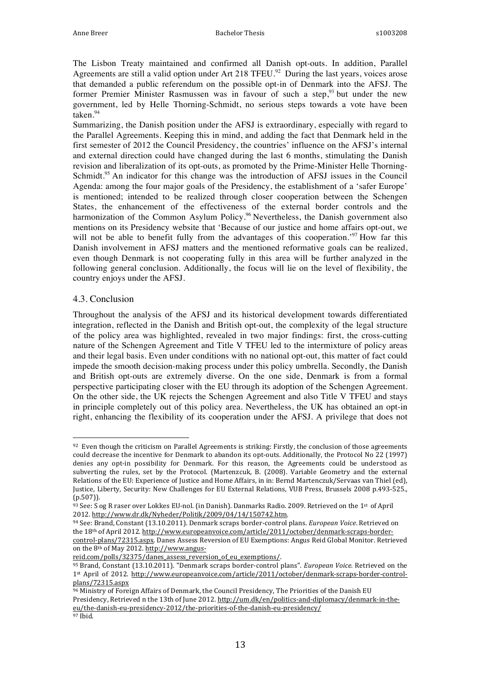The Lisbon Treaty maintained and confirmed all Danish opt-outs. In addition, Parallel Agreements are still a valid option under Art 218 TFEU.<sup>92</sup> During the last years, voices arose that demanded a public referendum on the possible opt-in of Denmark into the AFSJ. The former Premier Minister Rasmussen was in favour of such a step,<sup>93</sup> but under the new government, led by Helle Thorning-Schmidt, no serious steps towards a vote have been taken.<sup>94</sup>

Summarizing, the Danish position under the AFSJ is extraordinary, especially with regard to the Parallel Agreements. Keeping this in mind, and adding the fact that Denmark held in the first semester of 2012 the Council Presidency, the countries' influence on the AFSJ's internal and external direction could have changed during the last 6 months, stimulating the Danish revision and liberalization of its opt-outs, as promoted by the Prime-Minister Helle Thorning-Schmidt.<sup>95</sup> An indicator for this change was the introduction of AFSJ issues in the Council Agenda: among the four major goals of the Presidency, the establishment of a 'safer Europe' is mentioned; intended to be realized through closer cooperation between the Schengen States, the enhancement of the effectiveness of the external border controls and the harmonization of the Common Asylum Policy.<sup>96</sup> Nevertheless, the Danish government also mentions on its Presidency website that 'Because of our justice and home affairs opt-out, we will not be able to benefit fully from the advantages of this cooperation.<sup>97</sup> How far this Danish involvement in AFSJ matters and the mentioned reformative goals can be realized, even though Denmark is not cooperating fully in this area will be further analyzed in the following general conclusion. Additionally, the focus will lie on the level of flexibility, the country enjoys under the AFSJ.

#### 4.3. Conclusion

Throughout the analysis of the AFSJ and its historical development towards differentiated integration, reflected in the Danish and British opt-out, the complexity of the legal structure of the policy area was highlighted, revealed in two major findings: first, the cross-cutting nature of the Schengen Agreement and Title V TFEU led to the intermixture of policy areas and their legal basis. Even under conditions with no national opt-out, this matter of fact could impede the smooth decision-making process under this policy umbrella. Secondly, the Danish and British opt-outs are extremely diverse. On the one side, Denmark is from a formal perspective participating closer with the EU through its adoption of the Schengen Agreement. On the other side, the UK rejects the Schengen Agreement and also Title V TFEU and stays in principle completely out of this policy area. Nevertheless, the UK has obtained an opt-in right, enhancing the flexibility of its cooperation under the AFSJ. A privilege that does not

 92 Even though the criticism on Parallel Agreements is striking: Firstly, the conclusion of those agreements could decrease the incentive for Denmark to abandon its opt-outs. Additionally, the Protocol No 22 (1997) denies any opt-in possibility for Denmark. For this reason, the Agreements could be understood as subverting the rules, set by the Protocol. (Martenzcuk, B. (2008). Variable Geometry and the external Relations of the EU: Experience of Justice and Home Affairs, in in: Bernd Martenczuk/Servaas van Thiel (ed), Justice, Liberty, Security: New Challenges for EU External Relations, VUB Press, Brussels 2008 p.493-525., (p.507)).

<sup>93</sup> See: S og R raser over Lokkes EU-nol. (in Danish). Danmarks Radio. 2009. Retrieved on the 1<sup>st</sup> of April 2012. http://www.dr.dk/Nyheder/Politik/2009/04/14/150742.htm.

<sup>94</sup> See: Brand, Constant (13.10.2011). Denmark scraps border-control plans. *European Voice*. Retrieved on the 18th of April 2012. http://www.europeanvoice.com/article/2011/october/denmark-scraps-bordercontrol-plans/72315.aspx. Danes Assess Reversion of EU Exemptions: Angus Reid Global Monitor. Retrieved on the 8<sup>th</sup> of May 2012. http://www.angus-

reid.com/polls/32375/danes\_assess\_reversion\_of\_eu\_exemptions/.

<sup>95</sup> Brand, Constant (13.10.2011). "Denmark scraps border-control plans". *European Voice*. Retrieved on the 1st April of 2012. http://www.europeanvoice.com/article/2011/october/denmark-scraps-border-controlplans/72315.aspx

<sup>96</sup> Ministry of Foreign Affairs of Denmark, the Council Presidency, The Priorities of the Danish EU Presidency, Retrieved n the 13th of June 2012. http://um.dk/en/politics-and-diplomacy/denmark-in-theeu/the-danish-eu-presidency-2012/the-priorities-of-the-danish-eu-presidency/

<sup>97</sup> Ibid.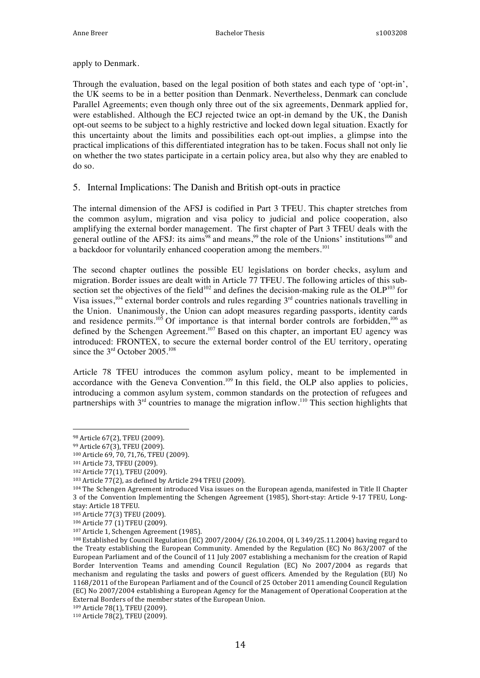apply to Denmark.

Through the evaluation, based on the legal position of both states and each type of 'opt-in', the UK seems to be in a better position than Denmark. Nevertheless, Denmark can conclude Parallel Agreements; even though only three out of the six agreements, Denmark applied for, were established. Although the ECJ rejected twice an opt-in demand by the UK, the Danish opt-out seems to be subject to a highly restrictive and locked down legal situation. Exactly for this uncertainty about the limits and possibilities each opt-out implies, a glimpse into the practical implications of this differentiated integration has to be taken. Focus shall not only lie on whether the two states participate in a certain policy area, but also why they are enabled to do so.

#### 5. Internal Implications: The Danish and British opt-outs in practice

The internal dimension of the AFSJ is codified in Part 3 TFEU. This chapter stretches from the common asylum, migration and visa policy to judicial and police cooperation, also amplifying the external border management. The first chapter of Part 3 TFEU deals with the general outline of the AFSJ: its aims<sup>98</sup> and means,<sup>99</sup> the role of the Unions' institutions<sup>100</sup> and a backdoor for voluntarily enhanced cooperation among the members.<sup>101</sup>

The second chapter outlines the possible EU legislations on border checks, asylum and migration. Border issues are dealt with in Article 77 TFEU. The following articles of this subsection set the objectives of the field<sup>102</sup> and defines the decision-making rule as the  $OLP<sup>103</sup>$  for Visa issues,<sup>104</sup> external border controls and rules regarding  $3<sup>rd</sup>$  countries nationals travelling in the Union. Unanimously, the Union can adopt measures regarding passports, identity cards and residence permits.<sup>105</sup> Of importance is that internal border controls are forbidden,<sup>106</sup> as defined by the Schengen Agreement.<sup>107</sup> Based on this chapter, an important EU agency was introduced: FRONTEX, to secure the external border control of the EU territory, operating since the 3<sup>rd</sup> October 2005.<sup>108</sup>

Article 78 TFEU introduces the common asylum policy, meant to be implemented in accordance with the Geneva Convention.<sup>109</sup> In this field, the OLP also applies to policies, introducing a common asylum system, common standards on the protection of refugees and partnerships with  $3<sup>rd</sup>$  countries to manage the migration inflow.<sup>110</sup> This section highlights that

 98 Article 67(2), TFEU (2009).

<sup>99</sup> Article 67(3), TFEU (2009).

<sup>100</sup> Article 69, 70, 71,76, TFEU (2009).

<sup>101</sup> Article 73, TFEU (2009).

<sup>102</sup> Article 77(1), TFEU (2009).

 $103$  Article  $77(2)$ , as defined by Article 294 TFEU (2009).

<sup>104</sup> The Schengen Agreement introduced Visa issues on the European agenda, manifested in Title II Chapter 3 of the Convention Implementing the Schengen Agreement (1985), Short-stay: Article 9-17 TFEU, Longstay: Article 18 TFEU.

<sup>105</sup> Article 77(3) TFEU (2009).

<sup>106</sup> Article 77 (1) TFEU (2009).

<sup>107</sup> Article 1, Schengen Agreement (1985).

 $108$  Established by Council Regulation (EC) 2007/2004/ (26.10.2004, OJ L 349/25.11.2004) having regard to the Treaty establishing the European Community. Amended by the Regulation (EC) No 863/2007 of the European Parliament and of the Council of 11 July 2007 establishing a mechanism for the creation of Rapid Border Intervention Teams and amending Council Regulation (EC) No 2007/2004 as regards that mechanism and regulating the tasks and powers of guest officers. Amended by the Regulation (EU) No 1168/2011 of the European Parliament and of the Council of 25 October 2011 amending Council Regulation (EC) No 2007/2004 establishing a European Agency for the Management of Operational Cooperation at the External Borders of the member states of the European Union.

<sup>109</sup> Article 78(1), TFEU (2009).

<sup>110</sup> Article 78(2), TFEU (2009).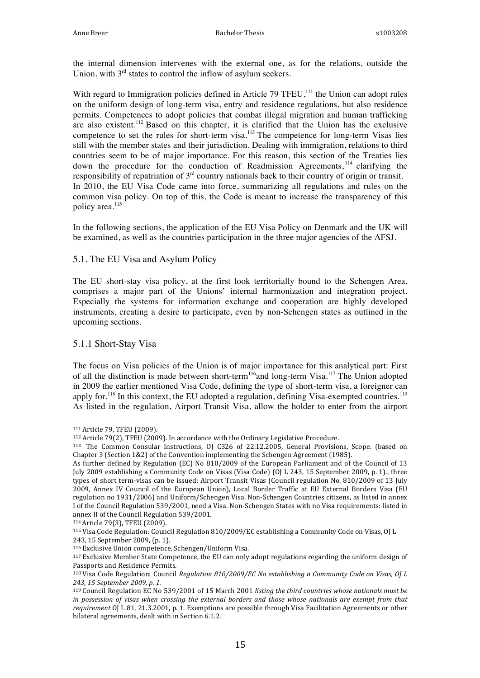the internal dimension intervenes with the external one, as for the relations, outside the Union, with  $3<sup>rd</sup>$  states to control the inflow of asylum seekers.

With regard to Immigration policies defined in Article 79 TFEU,<sup>111</sup> the Union can adopt rules on the uniform design of long-term visa, entry and residence regulations, but also residence permits. Competences to adopt policies that combat illegal migration and human trafficking are also existent.112 Based on this chapter, it is clarified that the Union has the exclusive competence to set the rules for short-term visa.<sup>113</sup> The competence for long-term Visas lies still with the member states and their jurisdiction. Dealing with immigration, relations to third countries seem to be of major importance. For this reason, this section of the Treaties lies down the procedure for the conduction of Readmission Agreements, <sup>114</sup> clarifying the responsibility of repatriation of 3<sup>rd</sup> country nationals back to their country of origin or transit. In 2010, the EU Visa Code came into force, summarizing all regulations and rules on the common visa policy. On top of this, the Code is meant to increase the transparency of this policy area.<sup>115</sup>

In the following sections, the application of the EU Visa Policy on Denmark and the UK will be examined, as well as the countries participation in the three major agencies of the AFSJ.

#### 5.1. The EU Visa and Asylum Policy

The EU short-stay visa policy, at the first look territorially bound to the Schengen Area, comprises a major part of the Unions' internal harmonization and integration project. Especially the systems for information exchange and cooperation are highly developed instruments, creating a desire to participate, even by non-Schengen states as outlined in the upcoming sections.

#### 5.1.1 Short-Stay Visa

The focus on Visa policies of the Union is of major importance for this analytical part: First of all the distinction is made between short-term<sup>116</sup>and long-term Visa.<sup>117</sup> The Union adopted in 2009 the earlier mentioned Visa Code, defining the type of short-term visa, a foreigner can apply for.<sup>118</sup> In this context, the EU adopted a regulation, defining Visa-exempted countries.<sup>119</sup> As listed in the regulation, Airport Transit Visa, allow the holder to enter from the airport

 111 Article 79, TFEU (2009).

 $112$  Article  $79(2)$ , TFEU (2009). In accordance with the Ordinary Legislative Procedure.

<sup>&</sup>lt;sup>113</sup> The Common Consular Instructions, OJ C326 of 22.12.2005, General Provisions, Scope. (based on Chapter  $3$  (Section  $1&2$ ) of the Convention implementing the Schengen Agreement (1985).

As further defined by Regulation (EC) No 810/2009 of the European Parliament and of the Council of 13 July 2009 establishing a Community Code on Visas (Visa Code) (OJ L 243, 15 September 2009, p. 1)., three types of short term-visas can be issued: Airport Transit Visas (Council regulation No. 810/2009 of 13 July 2009, Annex IV Council of the European Union), Local Border Traffic at EU External Borders Visa (EU regulation no 1931/2006) and Uniform/Schengen Visa. Non-Schengen Countries citizens, as listed in annex I of the Council Regulation 539/2001, need a Visa. Non-Schengen States with no Visa requirements: listed in annex II of the Council Regulation 539/2001.

<sup>114</sup> Article 79(3), TFEU (2009).

<sup>115</sup> Visa Code Regulation: Council Regulation 810/2009/EC establishing a Community Code on Visas, OJ L 243, 15 September 2009, (p. 1).

<sup>116</sup> Exclusive Union competence, Schengen/Uniform Visa.

<sup>117</sup> Exclusive Member State Competence, the EU can only adopt regulations regarding the uniform design of Passports and Residence Permits.

<sup>&</sup>lt;sup>118</sup> Visa Code Regulation: Council *Regulation 810/2009/EC No establishing a Community Code on Visas, OJ L 243, 15 September 2009, p. 1.*

<sup>&</sup>lt;sup>119</sup> Council Regulation EC No 539/2001 of 15 March 2001 listing the third countries whose nationals must be *in* possession of visas when crossing the external borders and those whose nationals are exempt from that *requirement* OJ L 81, 21.3.2001, p. 1. Exemptions are possible through Visa Facilitation Agreements or other bilateral agreements, dealt with in Section 6.1.2.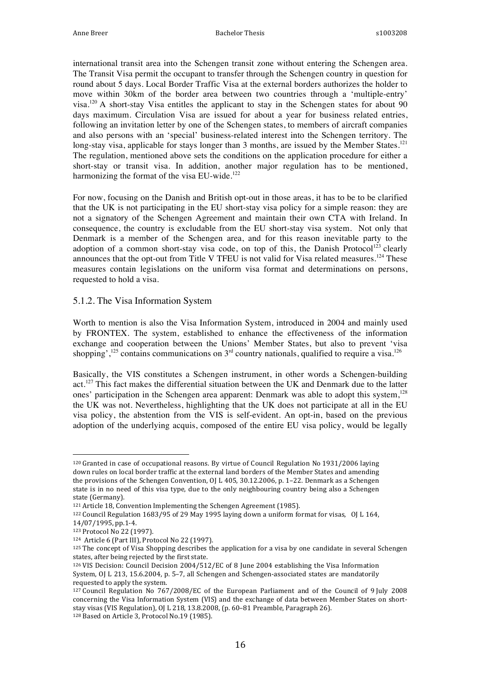international transit area into the Schengen transit zone without entering the Schengen area. The Transit Visa permit the occupant to transfer through the Schengen country in question for round about 5 days. Local Border Traffic Visa at the external borders authorizes the holder to move within 30km of the border area between two countries through a 'multiple-entry' visa.<sup>120</sup> A short-stay Visa entitles the applicant to stay in the Schengen states for about 90 days maximum. Circulation Visa are issued for about a year for business related entries, following an invitation letter by one of the Schengen states, to members of aircraft companies and also persons with an 'special' business-related interest into the Schengen territory. The long-stay visa, applicable for stays longer than 3 months, are issued by the Member States.<sup>121</sup> The regulation, mentioned above sets the conditions on the application procedure for either a short-stay or transit visa. In addition, another major regulation has to be mentioned, harmonizing the format of the visa EU-wide.<sup>122</sup>

For now, focusing on the Danish and British opt-out in those areas, it has to be to be clarified that the UK is not participating in the EU short-stay visa policy for a simple reason: they are not a signatory of the Schengen Agreement and maintain their own CTA with Ireland. In consequence, the country is excludable from the EU short-stay visa system. Not only that Denmark is a member of the Schengen area, and for this reason inevitable party to the adoption of a common short-stay visa code, on top of this, the Danish Protocol<sup>123</sup> clearly announces that the opt-out from Title V TFEU is not valid for Visa related measures.<sup>124</sup> These measures contain legislations on the uniform visa format and determinations on persons, requested to hold a visa.

#### 5.1.2. The Visa Information System

Worth to mention is also the Visa Information System, introduced in 2004 and mainly used by FRONTEX. The system, established to enhance the effectiveness of the information exchange and cooperation between the Unions' Member States, but also to prevent 'visa shopping',<sup>125</sup> contains communications on  $3<sup>rd</sup>$  country nationals, qualified to require a visa.<sup>126</sup>

Basically, the VIS constitutes a Schengen instrument, in other words a Schengen-building act.<sup>127</sup> This fact makes the differential situation between the UK and Denmark due to the latter ones' participation in the Schengen area apparent: Denmark was able to adopt this system, $128$ the UK was not. Nevertheless, highlighting that the UK does not participate at all in the EU visa policy, the abstention from the VIS is self-evident. An opt-in, based on the previous adoption of the underlying acquis, composed of the entire EU visa policy, would be legally

 $120$  Granted in case of occupational reasons. By virtue of Council Regulation No 1931/2006 laying down rules on local border traffic at the external land borders of the Member States and amending the provisions of the Schengen Convention, OJ L 405, 30.12.2006, p. 1–22. Denmark as a Schengen state is in no need of this visa type, due to the only neighbouring country being also a Schengen state (Germany).

<sup>121</sup> Article 18, Convention Implementing the Schengen Agreement (1985).

<sup>&</sup>lt;sup>122</sup> Council Regulation  $1683/95$  of 29 May 1995 laying down a uniform format for visas, OJ L 164, 14/07/1995, pp.1-4.

<sup>123</sup> Protocol No 22 (1997).

<sup>124</sup> Article 6 (Part III), Protocol No 22 (1997).

 $125$  The concept of Visa Shopping describes the application for a visa by one candidate in several Schengen states, after being rejected by the first state.

<sup>&</sup>lt;sup>126</sup> VIS Decision: Council Decision  $2004/512/EC$  of 8 June 2004 establishing the Visa Information System, OJ L 213, 15.6.2004, p. 5-7, all Schengen and Schengen-associated states are mandatorily requested to apply the system.

 $127$  Council Regulation No  $767/2008/EC$  of the European Parliament and of the Council of 9 July 2008 concerning the Visa Information System (VIS) and the exchange of data between Member States on shortstay visas (VIS Regulation), OJ L 218, 13.8.2008, (p. 60–81 Preamble, Paragraph 26). 128 Based on Article 3, Protocol No.19 (1985).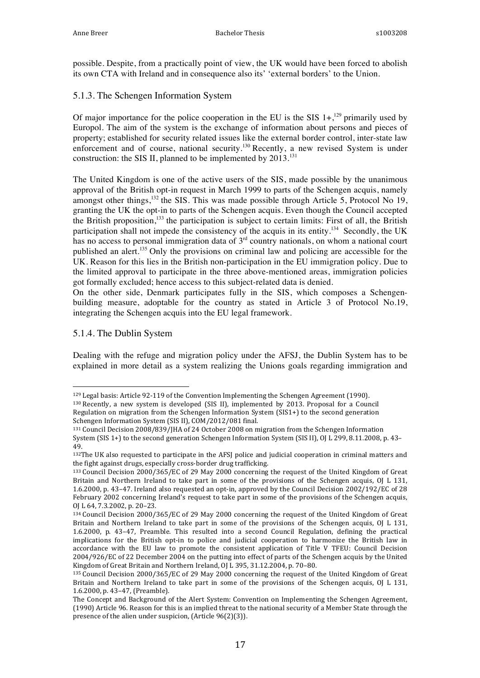possible. Despite, from a practically point of view, the UK would have been forced to abolish its own CTA with Ireland and in consequence also its' 'external borders' to the Union.

#### 5.1.3. The Schengen Information System

Of major importance for the police cooperation in the EU is the SIS  $1+$ ,<sup>129</sup> primarily used by Europol. The aim of the system is the exchange of information about persons and pieces of property; established for security related issues like the external border control, inter-state law enforcement and of course, national security.<sup>130</sup> Recently, a new revised System is under construction: the SIS II, planned to be implemented by  $2013$ .<sup>131</sup>

The United Kingdom is one of the active users of the SIS, made possible by the unanimous approval of the British opt-in request in March 1999 to parts of the Schengen acquis, namely amongst other things, $^{132}$  the SIS. This was made possible through Article 5, Protocol No 19, granting the UK the opt-in to parts of the Schengen acquis. Even though the Council accepted the British proposition,<sup>133</sup> the participation is subject to certain limits: First of all, the British participation shall not impede the consistency of the acquis in its entity.<sup>134</sup> Secondly, the UK has no access to personal immigration data of  $3<sup>rd</sup>$  country nationals, on whom a national court published an alert.<sup>135</sup> Only the provisions on criminal law and policing are accessible for the UK. Reason for this lies in the British non-participation in the EU immigration policy. Due to the limited approval to participate in the three above-mentioned areas, immigration policies got formally excluded; hence access to this subject-related data is denied.

On the other side, Denmark participates fully in the SIS, which composes a Schengenbuilding measure, adoptable for the country as stated in Article 3 of Protocol No.19, integrating the Schengen acquis into the EU legal framework.

#### 5.1.4. The Dublin System

Dealing with the refuge and migration policy under the AFSJ, the Dublin System has to be explained in more detail as a system realizing the Unions goals regarding immigration and

 <sup>129</sup> Legal basis: Article 92-119 of the Convention Implementing the Schengen Agreement (1990).

 $130$  Recently, a new system is developed (SIS II), implemented by 2013. Proposal for a Council Regulation on migration from the Schengen Information System  $(SIS1+)$  to the second generation Schengen Information System (SIS II), COM/2012/081 final.

<sup>&</sup>lt;sup>131</sup> Council Decision 2008/839/IHA of 24 October 2008 on migration from the Schengen Information System (SIS 1+) to the second generation Schengen Information System (SIS II), OJ L 299, 8.11.2008, p. 43– 49.

<sup>132</sup>The UK also requested to participate in the AFSJ police and judicial cooperation in criminal matters and the fight against drugs, especially cross-border drug trafficking.

<sup>133</sup> Council Decision 2000/365/EC of 29 May 2000 concerning the request of the United Kingdom of Great Britain and Northern Ireland to take part in some of the provisions of the Schengen acquis, OJ L 131, 1.6.2000, p. 43-47. Ireland also requested an opt-in, approved by the Council Decision 2002/192/EC of 28 February 2002 concerning Ireland's request to take part in some of the provisions of the Schengen acquis, OJ L 64, 7.3.2002, p. 20-23.

<sup>134</sup> Council Decision 2000/365/EC of 29 May 2000 concerning the request of the United Kingdom of Great Britain and Northern Ireland to take part in some of the provisions of the Schengen acquis, OJ L 131, 1.6.2000, p. 43–47, Preamble. This resulted into a second Council Regulation, defining the practical implications for the British opt-in to police and judicial cooperation to harmonize the British law in accordance with the EU law to promote the consistent application of Title V TFEU: Council Decision 2004/926/EC of 22 December 2004 on the putting into effect of parts of the Schengen acquis by the United Kingdom of Great Britain and Northern Ireland, OJ L 395, 31.12.2004, p. 70-80.

<sup>135</sup> Council Decision 2000/365/EC of 29 May 2000 concerning the request of the United Kingdom of Great Britain and Northern Ireland to take part in some of the provisions of the Schengen acquis,  $OJ L 131$ , 1.6.2000, p. 43-47, (Preamble).

The Concept and Background of the Alert System: Convention on Implementing the Schengen Agreement, (1990) Article 96. Reason for this is an implied threat to the national security of a Member State through the presence of the alien under suspicion, (Article 96(2)(3)).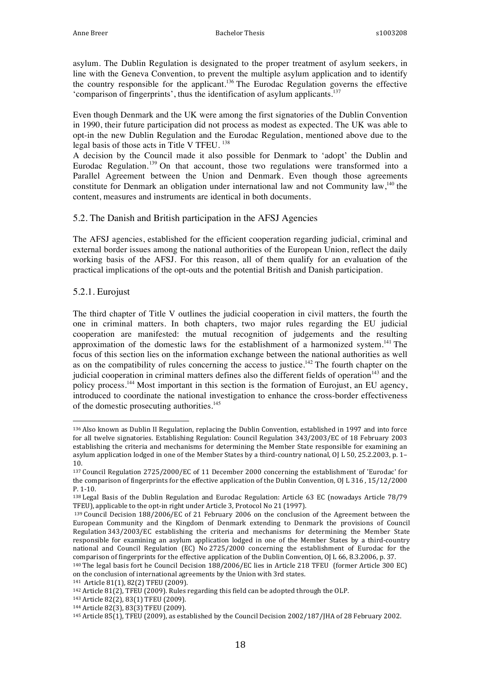asylum. The Dublin Regulation is designated to the proper treatment of asylum seekers, in line with the Geneva Convention, to prevent the multiple asylum application and to identify the country responsible for the applicant.<sup>136</sup> The Eurodac Regulation governs the effective 'comparison of fingerprints', thus the identification of asylum applicants. $137$ 

Even though Denmark and the UK were among the first signatories of the Dublin Convention in 1990, their future participation did not process as modest as expected. The UK was able to opt-in the new Dublin Regulation and the Eurodac Regulation, mentioned above due to the legal basis of those acts in Title V TFEU. 138

A decision by the Council made it also possible for Denmark to 'adopt' the Dublin and Eurodac Regulation.<sup>139</sup> On that account, those two regulations were transformed into a Parallel Agreement between the Union and Denmark. Even though those agreements constitute for Denmark an obligation under international law and not Community law,<sup>140</sup> the content, measures and instruments are identical in both documents.

#### 5.2. The Danish and British participation in the AFSJ Agencies

The AFSJ agencies, established for the efficient cooperation regarding judicial, criminal and external border issues among the national authorities of the European Union, reflect the daily working basis of the AFSJ. For this reason, all of them qualify for an evaluation of the practical implications of the opt-outs and the potential British and Danish participation.

#### 5.2.1. Eurojust

The third chapter of Title V outlines the judicial cooperation in civil matters, the fourth the one in criminal matters. In both chapters, two major rules regarding the EU judicial cooperation are manifested: the mutual recognition of judgements and the resulting approximation of the domestic laws for the establishment of a harmonized system.<sup>141</sup> The focus of this section lies on the information exchange between the national authorities as well as on the compatibility of rules concerning the access to justice.<sup>142</sup> The fourth chapter on the judicial cooperation in criminal matters defines also the different fields of operation<sup>143</sup> and the policy process.<sup>144</sup> Most important in this section is the formation of Eurojust, an EU agency, introduced to coordinate the national investigation to enhance the cross-border effectiveness of the domestic prosecuting authorities.<sup>145</sup>

<sup>&</sup>lt;sup>136</sup> Also known as Dublin II Regulation, replacing the Dublin Convention, established in 1997 and into force for all twelve signatories. Establishing Regulation: Council Regulation 343/2003/EC of 18 February 2003 establishing the criteria and mechanisms for determining the Member State responsible for examining an asylum application lodged in one of the Member States by a third-country national, OJ L 50, 25.2.2003, p. 1-10.

<sup>137</sup> Council Regulation 2725/2000/EC of 11 December 2000 concerning the establishment of 'Eurodac' for the comparison of fingerprints for the effective application of the Dublin Convention, OJ L 316, 15/12/2000 P. 1-10.

 $138$  Legal Basis of the Dublin Regulation and Eurodac Regulation: Article 63 EC (nowadays Article  $78/79$ ) TFEU), applicable to the opt-in right under Article 3, Protocol No 21 (1997).

<sup>139</sup> Council Decision 188/2006/EC of 21 February 2006 on the conclusion of the Agreement between the European Community and the Kingdom of Denmark extending to Denmark the provisions of Council Regulation 343/2003/EC establishing the criteria and mechanisms for determining the Member State responsible for examining an asylum application lodged in one of the Member States by a third-country national and Council Regulation (EC) No 2725/2000 concerning the establishment of Eurodac for the comparison of fingerprints for the effective application of the Dublin Convention, OJ L 66, 8.3.2006, p. 37.

<sup>&</sup>lt;sup>140</sup> The legal basis fort he Council Decision 188/2006/EC lies in Article 218 TFEU (former Article 300 EC) on the conclusion of international agreements by the Union with 3rd states.

<sup>141</sup> Article 81(1), 82(2) TFEU (2009).

<sup>142</sup> Article 81(2), TFEU (2009). Rules regarding this field can be adopted through the OLP.

<sup>143</sup> Article 82(2), 83(1) TFEU (2009).

<sup>144</sup> Article 82(3), 83(3) TFEU (2009).

<sup>&</sup>lt;sup>145</sup> Article 85(1), TFEU (2009), as established by the Council Decision 2002/187/JHA of 28 February 2002.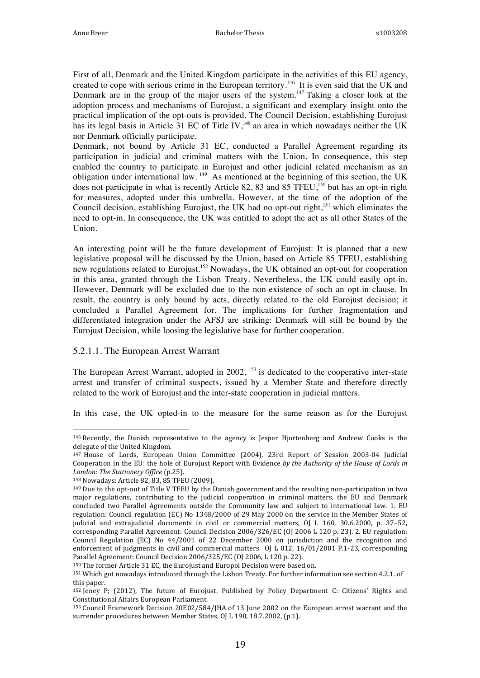First of all, Denmark and the United Kingdom participate in the activities of this EU agency, created to cope with serious crime in the European territory.<sup>146</sup> It is even said that the UK and Denmark are in the group of the major users of the system.147 Taking a closer look at the adoption process and mechanisms of Eurojust, a significant and exemplary insight onto the practical implication of the opt-outs is provided. The Council Decision, establishing Eurojust has its legal basis in Article  $31$  EC of Title IV,<sup>148</sup> an area in which nowadays neither the UK nor Denmark officially participate.

Denmark, not bound by Article 31 EC, conducted a Parallel Agreement regarding its participation in judicial and criminal matters with the Union. In consequence, this step enabled the country to participate in Eurojust and other judicial related mechanism as an obligation under international law. 149 As mentioned at the beginning of this section, the UK does not participate in what is recently Article 82, 83 and 85 TFEU,<sup>150</sup> but has an opt-in right for measures, adopted under this umbrella. However, at the time of the adoption of the Council decision, establishing Eurojust, the UK had no opt-out right,<sup>151</sup> which eliminates the need to opt-in. In consequence, the UK was entitled to adopt the act as all other States of the Union.

An interesting point will be the future development of Eurojust: It is planned that a new legislative proposal will be discussed by the Union, based on Article 85 TFEU, establishing new regulations related to Eurojust.<sup>152</sup> Nowadays, the UK obtained an opt-out for cooperation in this area, granted through the Lisbon Treaty. Nevertheless, the UK could easily opt-in. However, Denmark will be excluded due to the non-existence of such an opt-in clause. In result, the country is only bound by acts, directly related to the old Eurojust decision; it concluded a Parallel Agreement for. The implications for further fragmentation and differentiated integration under the AFSJ are striking: Denmark will still be bound by the Eurojust Decision, while loosing the legislative base for further cooperation.

#### 5.2.1.1. The European Arrest Warrant

The European Arrest Warrant, adopted in 2002, <sup>153</sup> is dedicated to the cooperative inter-state arrest and transfer of criminal suspects, issued by a Member State and therefore directly related to the work of Eurojust and the inter-state cooperation in judicial matters.

In this case, the UK opted-in to the measure for the same reason as for the Eurojust

 

<sup>150</sup> The former Article 31 EC, the Eurojust and Europol Decision were based on.

 $146$  Recently, the Danish representative to the agency is Jesper Hjortenberg and Andrew Cooks is the delegate of the United Kingdom.

<sup>&</sup>lt;sup>147</sup> House of Lords, European Union Committee (2004). 23rd Report of Session 2003-04 Judicial Cooperation in the EU: the hole of Eurojust Report with Evidence by the Authority of the House of Lords in *London: The Stationery Office* (p.25).

<sup>148</sup> Nowadays: Article 82, 83, 85 TFEU (2009).

<sup>&</sup>lt;sup>149</sup> Due to the opt-out of Title V TFEU by the Danish government and the resulting non-participation in two major regulations, contributing to the judicial cooperation in criminal matters, the EU and Denmark concluded two Parallel Agreements outside the Community law and subject to international law. 1. EU regulation: Council regulation (EC) No 1348/2000 of 29 May 2000 on the service in the Member States of judicial and extrajudicial documents in civil or commercial matters, OJ L 160, 30.6.2000, p. 37-52, corresponding Parallel Agreement: Council Decision 2006/326/EC (OJ 2006 L 120 p. 23). 2. EU regulation: Council Regulation (EC) No  $44/2001$  of 22 December 2000 on jurisdiction and the recognition and enforcement of judgments in civil and commercial matters  $OJ$  L 012, 16/01/2001 P.1-23, corresponding Parallel Agreement: Council Decision 2006/325/EC (OJ 2006, L 120 p. 22).

<sup>151</sup> Which got nowadays introduced through the Lisbon Treaty. For further information see section 4.2.1. of this paper.

<sup>152</sup> Jeney P; (2012), The future of Eurojust. Published by Policy Department C: Citizens' Rights and Constitutional Affairs European Parliament.

<sup>&</sup>lt;sup>153</sup> Council Framework Decision 20E02/584/JHA of 13 June 2002 on the European arrest warrant and the surrender procedures between Member States, OJ L 190, 18.7.2002, (p.1).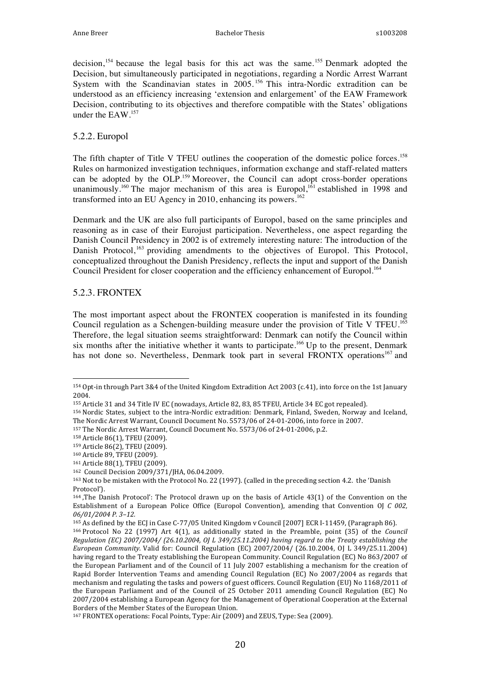decision,<sup>154</sup> because the legal basis for this act was the same.<sup>155</sup> Denmark adopted the Decision, but simultaneously participated in negotiations, regarding a Nordic Arrest Warrant System with the Scandinavian states in 2005.<sup>156</sup> This intra-Nordic extradition can be understood as an efficiency increasing 'extension and enlargement' of the EAW Framework Decision, contributing to its objectives and therefore compatible with the States' obligations under the EAW.<sup>157</sup>

#### 5.2.2. Europol

The fifth chapter of Title V TFEU outlines the cooperation of the domestic police forces.<sup>158</sup> Rules on harmonized investigation techniques, information exchange and staff-related matters can be adopted by the OLP.<sup>159</sup> Moreover, the Council can adopt cross-border operations unanimously.<sup>160</sup> The major mechanism of this area is Europol,<sup>161</sup> established in 1998 and transformed into an EU Agency in 2010, enhancing its powers.<sup>162</sup>

Denmark and the UK are also full participants of Europol, based on the same principles and reasoning as in case of their Eurojust participation. Nevertheless, one aspect regarding the Danish Council Presidency in 2002 is of extremely interesting nature: The introduction of the Danish Protocol,<sup>163</sup> providing amendments to the objectives of Europol. This Protocol, conceptualized throughout the Danish Presidency, reflects the input and support of the Danish Council President for closer cooperation and the efficiency enhancement of Europol.<sup>164</sup>

#### 5.2.3. FRONTEX

The most important aspect about the FRONTEX cooperation is manifested in its founding Council regulation as a Schengen-building measure under the provision of Title V TFEU.<sup>165</sup> Therefore, the legal situation seems straightforward: Denmark can notify the Council within six months after the initiative whether it wants to participate.<sup>166</sup> Up to the present, Denmark has not done so. Nevertheless, Denmark took part in several FRONTX operations<sup>167</sup> and

 $154$  Opt-in through Part  $384$  of the United Kingdom Extradition Act 2003 (c.41), into force on the 1st January 2004.

<sup>155</sup> Article 31 and 34 Title IV EC (nowadays, Article 82, 83, 85 TFEU, Article 34 EC got repealed).

<sup>156</sup> Nordic States, subject to the intra-Nordic extradition: Denmark, Finland, Sweden, Norway and Iceland, The Nordic Arrest Warrant, Council Document No. 5573/06 of 24-01-2006, into force in 2007.

<sup>&</sup>lt;sup>157</sup> The Nordic Arrest Warrant, Council Document No. 5573/06 of 24-01-2006, p.2.

<sup>158</sup> Article 86(1), TFEU (2009).

<sup>159</sup> Article 86(2), TFEU (2009).

<sup>160</sup> Article 89, TFEU (2009).

<sup>161</sup> Article 88(1), TFEU (2009).

<sup>162</sup> Council Decision 2009/371/JHA, 06.04.2009.

<sup>&</sup>lt;sup>163</sup> Not to be mistaken with the Protocol No. 22 (1997). (called in the preceding section 4.2. the 'Danish Protocol').

 $164$ , The Danish Protocol': The Protocol drawn up on the basis of Article 43(1) of the Convention on the Establishment of a European Police Office (Europol Convention), amending that Convention OJ *C* 002, *06/01/2004 P. 3–12.*

<sup>&</sup>lt;sup>165</sup> As defined by the ECJ in Case C-77/05 United Kingdom v Council [2007] ECR I-11459, (Paragraph 86).

 $166$  Protocol No 22 (1997) Art  $4(1)$ , as additionally stated in the Preamble, point  $(35)$  of the *Council Regulation* (*EC*) 2007/2004/ (26.10.2004, OJ L 349/25.11.2004) having regard to the Treaty establishing the *European Community.* Valid for: Council Regulation (EC) 2007/2004/ (26.10.2004, OJ L 349/25.11.2004) having regard to the Treaty establishing the European Community. Council Regulation (EC) No 863/2007 of the European Parliament and of the Council of 11 July 2007 establishing a mechanism for the creation of Rapid Border Intervention Teams and amending Council Regulation (EC) No 2007/2004 as regards that mechanism and regulating the tasks and powers of guest officers. Council Regulation (EU) No 1168/2011 of the European Parliament and of the Council of 25 October 2011 amending Council Regulation (EC) No 2007/2004 establishing a European Agency for the Management of Operational Cooperation at the External Borders of the Member States of the European Union.

<sup>167</sup> FRONTEX operations: Focal Points, Type: Air (2009) and ZEUS, Type: Sea (2009).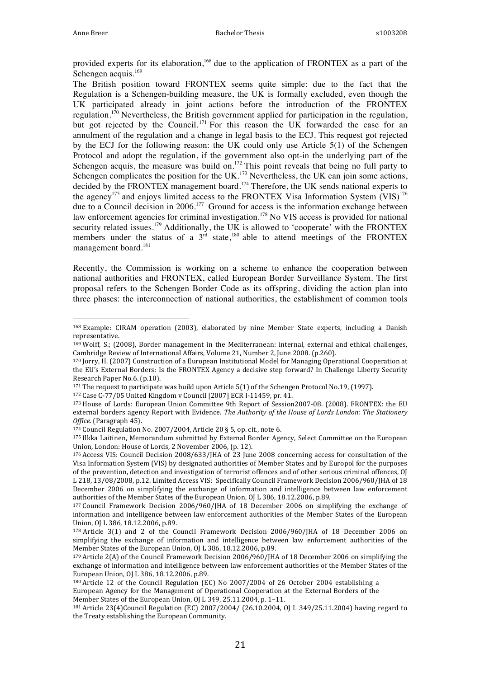provided experts for its elaboration,<sup>168</sup> due to the application of FRONTEX as a part of the Schengen acquis.<sup>169</sup>

The British position toward FRONTEX seems quite simple: due to the fact that the Regulation is a Schengen-building measure, the UK is formally excluded, even though the UK participated already in joint actions before the introduction of the FRONTEX regulation.<sup>170</sup> Nevertheless, the British government applied for participation in the regulation, but got rejected by the Council.<sup>171</sup> For this reason the UK forwarded the case for an annulment of the regulation and a change in legal basis to the ECJ. This request got rejected by the ECJ for the following reason: the UK could only use Article 5(1) of the Schengen Protocol and adopt the regulation, if the government also opt-in the underlying part of the Schengen acquis, the measure was build on.<sup>172</sup> This point reveals that being no full party to Schengen complicates the position for the UK.<sup>173</sup> Nevertheless, the UK can join some actions, decided by the FRONTEX management board.<sup>174</sup> Therefore, the UK sends national experts to the agency<sup>175</sup> and enjoys limited access to the FRONTEX Visa Information System  $(VIS)^{176}$ due to a Council decision in 2006.<sup>177</sup> Ground for access is the information exchange between law enforcement agencies for criminal investigation.<sup>178</sup> No VIS access is provided for national security related issues.<sup>179</sup> Additionally, the UK is allowed to 'cooperate' with the FRONTEX members under the status of a  $3<sup>rd</sup>$  state,<sup>180</sup> able to attend meetings of the FRONTEX management board.<sup>181</sup>

Recently, the Commission is working on a scheme to enhance the cooperation between national authorities and FRONTEX, called European Border Surveillance System. The first proposal refers to the Schengen Border Code as its offspring, dividing the action plan into three phases: the interconnection of national authorities, the establishment of common tools

172 Case C-77/05 United Kingdom v Council [2007] ECR I-11459, pr. 41.

<sup>168</sup> Example: CIRAM operation (2003), elaborated by nine Member State experts, including a Danish representative.

 $169$  Wolff, S.; (2008), Border management in the Mediterranean: internal, external and ethical challenges, Cambridge Review of International Affairs, Volume 21, Number 2, June 2008. (p.260).

<sup>170</sup> Jorry, H. (2007) Construction of a European Institutional Model for Managing Operational Cooperation at the EU's External Borders: Is the FRONTEX Agency a decisive step forward? In Challenge Liberty Security Research Paper No.6. (p.10).

 $171$  The request to participate was build upon Article 5(1) of the Schengen Protocol No.19, (1997).

<sup>173</sup> House of Lords: European Union Committee 9th Report of Session2007-08. (2008). FRONTEX: the EU external borders agency Report with Evidence. *The Authority of the House of Lords London: The Stationery Office.* (Paragraph 45).

 $174$  Council Regulation No. 2007/2004, Article 20 § 5, op. cit., note 6.

<sup>175</sup> Ilkka Laitinen, Memorandum submitted by External Border Agency, Select Committee on the European Union, London: House of Lords, 2 November 2006, (p. 12).

<sup>176</sup> Access VIS: Council Decision 2008/633/JHA of 23 June 2008 concerning access for consultation of the Visa Information System (VIS) by designated authorities of Member States and by Europol for the purposes of the prevention, detection and investigation of terrorist offences and of other serious criminal offences, OJ L 218, 13/08/2008, p.12. Limited Access VIS: Specifically Council Framework Decision 2006/960/JHA of 18 December 2006 on simplifying the exchange of information and intelligence between law enforcement authorities of the Member States of the European Union, OJ L 386, 18.12.2006, p.89.

<sup>177</sup> Council Framework Decision 2006/960/JHA of 18 December 2006 on simplifying the exchange of information and intelligence between law enforcement authorities of the Member States of the European Union, 0J L 386, 18.12.2006, p.89.

<sup>&</sup>lt;sup>178</sup> Article 3(1) and 2 of the Council Framework Decision 2006/960/IHA of 18 December 2006 on simplifying the exchange of information and intelligence between law enforcement authorities of the Member States of the European Union, OJ L 386, 18.12.2006, p.89.

<sup>&</sup>lt;sup>179</sup> Article 2(A) of the Council Framework Decision 2006/960/JHA of 18 December 2006 on simplifying the exchange of information and intelligence between law enforcement authorities of the Member States of the European Union, OJ L 386, 18.12.2006, p.89.

 $180$  Article 12 of the Council Regulation (EC) No 2007/2004 of 26 October 2004 establishing a European Agency for the Management of Operational Cooperation at the External Borders of the Member States of the European Union, OJ L 349, 25.11.2004, p. 1-11.

 $181$  Article 23(4)Council Regulation (EC) 2007/2004/ (26.10.2004, OJ L 349/25.11.2004) having regard to the Treaty establishing the European Community.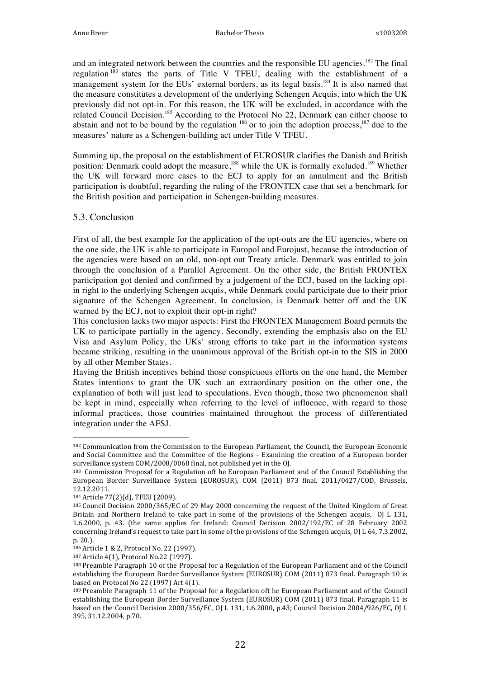and an integrated network between the countries and the responsible EU agencies.<sup>182</sup> The final regulation <sup>183</sup> states the parts of Title V TFEU, dealing with the establishment of a management system for the EUs' external borders, as its legal basis.<sup>184</sup> It is also named that the measure constitutes a development of the underlying Schengen Acquis, into which the UK previously did not opt-in. For this reason, the UK will be excluded, in accordance with the related Council Decision.<sup>185</sup> According to the Protocol No 22, Denmark can either choose to abstain and not to be bound by the regulation  $186$  or to join the adoption process,  $187$  due to the measures' nature as a Schengen-building act under Title V TFEU.

Summing up, the proposal on the establishment of EUROSUR clarifies the Danish and British position: Denmark could adopt the measure,<sup>188</sup> while the UK is formally excluded.<sup>189</sup> Whether the UK will forward more cases to the ECJ to apply for an annulment and the British participation is doubtful, regarding the ruling of the FRONTEX case that set a benchmark for the British position and participation in Schengen-building measures.

#### 5.3. Conclusion

First of all, the best example for the application of the opt-outs are the EU agencies, where on the one side, the UK is able to participate in Europol and Eurojust, because the introduction of the agencies were based on an old, non-opt out Treaty article. Denmark was entitled to join through the conclusion of a Parallel Agreement. On the other side, the British FRONTEX participation got denied and confirmed by a judgement of the ECJ, based on the lacking optin right to the underlying Schengen acquis, while Denmark could participate due to their prior signature of the Schengen Agreement. In conclusion, is Denmark better off and the UK warned by the ECJ, not to exploit their opt-in right?

This conclusion lacks two major aspects: First the FRONTEX Management Board permits the UK to participate partially in the agency. Secondly, extending the emphasis also on the EU Visa and Asylum Policy, the UKs' strong efforts to take part in the information systems became striking, resulting in the unanimous approval of the British opt-in to the SIS in 2000 by all other Member States.

Having the British incentives behind those conspicuous efforts on the one hand, the Member States intentions to grant the UK such an extraordinary position on the other one, the explanation of both will just lead to speculations. Even though, those two phenomenon shall be kept in mind, especially when referring to the level of influence, with regard to those informal practices, those countries maintained throughout the process of differentiated integration under the AFSJ.

 

187 Article 4(1), Protocol No.22 (1997).

<sup>182</sup> Communication from the Commission to the European Parliament, the Council, the European Economic and Social Committee and the Committee of the Regions - Examining the creation of a European border surveillance system COM/2008/0068 final, not published yet in the OJ.

<sup>183</sup> Commission Proposal for a Regulation oft he European Parliament and of the Council Establishing the European Border Surveillance System (EUROSUR), COM (2011) 873 final, 2011/0427/COD, Brussels, 12.12.2011.

<sup>184</sup> Article 77(2)(d), TFEU (2009).

<sup>185</sup> Council Decision 2000/365/EC of 29 May 2000 concerning the request of the United Kingdom of Great Britain and Northern Ireland to take part in some of the provisions of the Schengen acquis, OJ L 131, 1.6.2000, p. 43. (the same applies for Ireland: Council Decision  $2002/192/EC$  of 28 February 2002 concerning Ireland's request to take part in some of the provisions of the Schengen acquis,  $O<sub>I</sub> L 64, 7.3.2002$ , p. 20.).

<sup>186</sup> Article 1 & 2, Protocol No. 22 (1997).

<sup>188</sup> Preamble Paragraph 10 of the Proposal for a Regulation of the European Parliament and of the Council establishing the European Border Surveillance System (EUROSUR) COM (2011) 873 final. Paragraph 10 is based on Protocol No 22 (1997) Art  $4(1)$ .

<sup>189</sup> Preamble Paragraph 11 of the Proposal for a Regulation oft he European Parliament and of the Council establishing the European Border Surveillance System (EUROSUR) COM (2011) 873 final. Paragraph 11 is based on the Council Decision 2000/356/EC, OJ L 131, 1.6.2000, p.43; Council Decision 2004/926/EC, OJ L 395, 31.12.2004, p.70.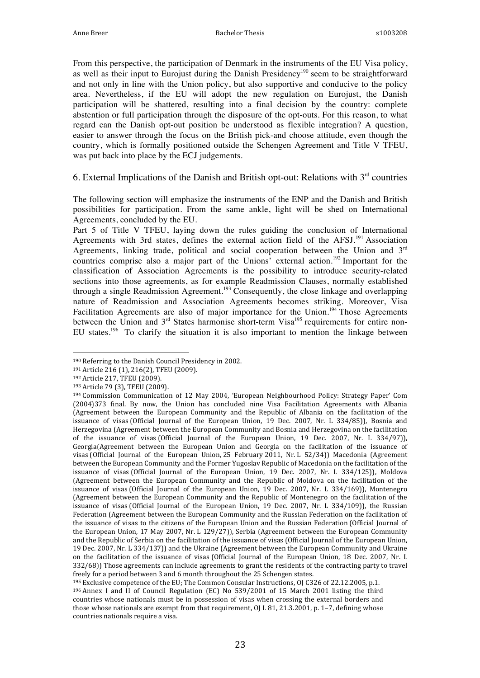From this perspective, the participation of Denmark in the instruments of the EU Visa policy, as well as their input to Eurojust during the Danish Presidency<sup>190</sup> seem to be straightforward and not only in line with the Union policy, but also supportive and conducive to the policy area. Nevertheless, if the EU will adopt the new regulation on Eurojust, the Danish participation will be shattered, resulting into a final decision by the country: complete abstention or full participation through the disposure of the opt-outs. For this reason, to what regard can the Danish opt-out position be understood as flexible integration? A question, easier to answer through the focus on the British pick-and choose attitude, even though the country, which is formally positioned outside the Schengen Agreement and Title V TFEU, was put back into place by the ECJ judgements.

6. External Implications of the Danish and British opt-out: Relations with  $3<sup>rd</sup>$  countries

The following section will emphasize the instruments of the ENP and the Danish and British possibilities for participation. From the same ankle, light will be shed on International Agreements, concluded by the EU.

Part 5 of Title V TFEU, laying down the rules guiding the conclusion of International Agreements with 3rd states, defines the external action field of the AFSJ.<sup>191</sup> Association Agreements, linking trade, political and social cooperation between the Union and  $3<sup>rd</sup>$ countries comprise also a major part of the Unions' external action.<sup>192</sup> Important for the classification of Association Agreements is the possibility to introduce security-related sections into those agreements, as for example Readmission Clauses, normally established through a single Readmission Agreement.<sup>193</sup> Consequently, the close linkage and overlapping nature of Readmission and Association Agreements becomes striking. Moreover, Visa Facilitation Agreements are also of major importance for the Union.<sup>194</sup> Those Agreements between the Union and  $3<sup>rd</sup>$  States harmonise short-term Visa<sup>195</sup> requirements for entire non-EU states.<sup>196</sup> To clarify the situation it is also important to mention the linkage between

<sup>190</sup> Referring to the Danish Council Presidency in 2002.

<sup>191</sup> Article 216 (1), 216(2), TFEU (2009).

<sup>192</sup> Article 217, TFEU (2009).

<sup>193</sup> Article 79 (3), TFEU (2009).

<sup>&</sup>lt;sup>194</sup> Commission Communication of 12 May 2004, 'European Neighbourhood Policy: Strategy Paper' Com (2004)373 final. By now, the Union has concluded nine Visa Facilitation Agreements with Albania (Agreement between the European Community and the Republic of Albania on the facilitation of the issuance of visas (Official Journal of the European Union, 19 Dec. 2007, Nr. L 334/85)), Bosnia and Herzegovina (Agreement between the European Community and Bosnia and Herzegovina on the facilitation of the issuance of visas (Official Journal of the European Union, 19 Dec. 2007, Nr. L 334/97)), Georgia(Agreement between the European Union and Georgia on the facilitation of the issuance of visas (Official Journal of the European Union, 25 February 2011, Nr. L 52/34)) Macedonia (Agreement between the European Community and the Former Yugoslav Republic of Macedonia on the facilitation of the issuance of visas (Official Journal of the European Union, 19 Dec. 2007, Nr. L 334/125)), Moldova (Agreement between the European Community and the Republic of Moldova on the facilitation of the issuance of visas (Official Journal of the European Union,  $19$  Dec. 2007, Nr. L 334/169)), Montenegro (Agreement between the European Community and the Republic of Montenegro on the facilitation of the issuance of visas (Official Journal of the European Union, 19 Dec. 2007, Nr. L 334/109)), the Russian Federation (Agreement between the European Community and the Russian Federation on the facilitation of the issuance of visas to the citizens of the European Union and the Russian Federation (Official Journal of the European Union, 17 May 2007, Nr. L 129/27)), Serbia (Agreement between the European Community and the Republic of Serbia on the facilitation of the issuance of visas (Official Journal of the European Union, 19 Dec. 2007, Nr. L 334/137)) and the Ukraine (Agreement between the European Community and Ukraine on the facilitation of the issuance of visas (Official Journal of the European Union, 18 Dec. 2007, Nr. L 332/68)) Those agreements can include agreements to grant the residents of the contracting party to travel freely for a period between 3 and 6 month throughout the 25 Schengen states.

<sup>195</sup> Exclusive competence of the EU; The Common Consular Instructions, OJ C326 of 22.12.2005, p.1.

<sup>&</sup>lt;sup>196</sup> Annex I and II of Council Regulation (EC) No 539/2001 of 15 March 2001 listing the third countries whose nationals must be in possession of visas when crossing the external borders and those whose nationals are exempt from that requirement,  $O/L 81$ , 21.3.2001, p. 1–7, defining whose countries nationals require a visa.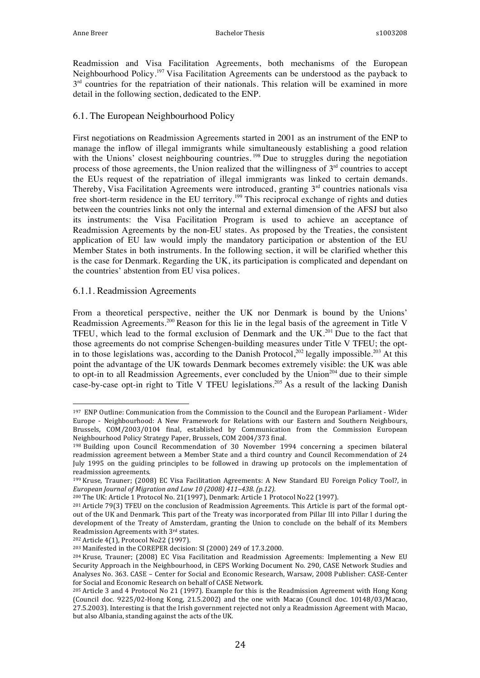Readmission and Visa Facilitation Agreements, both mechanisms of the European Neighbourhood Policy.<sup>197</sup> Visa Facilitation Agreements can be understood as the payback to  $3<sup>rd</sup>$  countries for the repatriation of their nationals. This relation will be examined in more detail in the following section, dedicated to the ENP.

#### 6.1. The European Neighbourhood Policy

First negotiations on Readmission Agreements started in 2001 as an instrument of the ENP to manage the inflow of illegal immigrants while simultaneously establishing a good relation with the Unions' closest neighbouring countries.<sup>198</sup> Due to struggles during the negotiation process of those agreements, the Union realized that the willingness of  $3<sup>rd</sup>$  countries to accept the EUs request of the repatriation of illegal immigrants was linked to certain demands. Thereby, Visa Facilitation Agreements were introduced, granting  $3<sup>rd</sup>$  countries nationals visa free short-term residence in the EU territory.<sup>199</sup> This reciprocal exchange of rights and duties between the countries links not only the internal and external dimension of the AFSJ but also its instruments: the Visa Facilitation Program is used to achieve an acceptance of Readmission Agreements by the non-EU states. As proposed by the Treaties, the consistent application of EU law would imply the mandatory participation or abstention of the EU Member States in both instruments. In the following section, it will be clarified whether this is the case for Denmark. Regarding the UK, its participation is complicated and dependant on the countries' abstention from EU visa polices.

#### 6.1.1. Readmission Agreements

From a theoretical perspective, neither the UK nor Denmark is bound by the Unions' Readmission Agreements.<sup>200</sup> Reason for this lie in the legal basis of the agreement in Title V TFEU, which lead to the formal exclusion of Denmark and the UK.<sup>201</sup> Due to the fact that those agreements do not comprise Schengen-building measures under Title V TFEU; the optin to those legislations was, according to the Danish Protocol,<sup>202</sup> legally impossible.<sup>203</sup> At this point the advantage of the UK towards Denmark becomes extremely visible: the UK was able to opt-in to all Readmission Agreements, ever concluded by the  $Union<sup>204</sup>$  due to their simple case-by-case opt-in right to Title V TFEU legislations.<sup>205</sup> As a result of the lacking Danish

<sup>200</sup> The UK: Article 1 Protocol No. 21(1997), Denmark: Article 1 Protocol No22 (1997).

202 Article 4(1), Protocol No22 (1997).

 197 ENP Outline: Communication from the Commission to the Council and the European Parliament - Wider Europe - Neighbourhood: A New Framework for Relations with our Eastern and Southern Neighbours, Brussels, COM/2003/0104 final, established by Communication from the Commission European Neighbourhood Policy Strategy Paper, Brussels, COM 2004/373 final.

<sup>&</sup>lt;sup>198</sup> Building upon Council Recommendation of 30 November 1994 concerning a specimen bilateral readmission agreement between a Member State and a third country and Council Recommendation of 24 July 1995 on the guiding principles to be followed in drawing up protocols on the implementation of readmission agreements.

<sup>199</sup> Kruse, Trauner; (2008) EC Visa Facilitation Agreements: A New Standard EU Foreign Policy Tool?, in *European Journal of Migration and Law 10 (2008)* 411-438. (p.12).

<sup>&</sup>lt;sup>201</sup> Article 79(3) TFEU on the conclusion of Readmission Agreements. This Article is part of the formal optout of the UK and Denmark. This part of the Treaty was incorporated from Pillar III into Pillar I during the development of the Treaty of Amsterdam, granting the Union to conclude on the behalf of its Members Readmission Agreements with 3rd states.

<sup>&</sup>lt;sup>203</sup> Manifested in the COREPER decision: SI (2000) 249 of 17.3.2000.

<sup>&</sup>lt;sup>204</sup> Kruse, Trauner; (2008) EC Visa Facilitation and Readmission Agreements: Implementing a New EU Security Approach in the Neighbourhood, in CEPS Working Document No. 290, CASE Network Studies and Analyses No. 363. CASE - Center for Social and Economic Research, Warsaw, 2008 Publisher: CASE-Center for Social and Economic Research on behalf of CASE Network.

<sup>&</sup>lt;sup>205</sup> Article 3 and 4 Protocol No 21 (1997). Example for this is the Readmission Agreement with Hong Kong (Council doc. 9225/02-Hong Kong, 21.5.2002) and the one with Macao (Council doc. 10148/03/Macao, 27.5.2003). Interesting is that the Irish government rejected not only a Readmission Agreement with Macao, but also Albania, standing against the acts of the UK.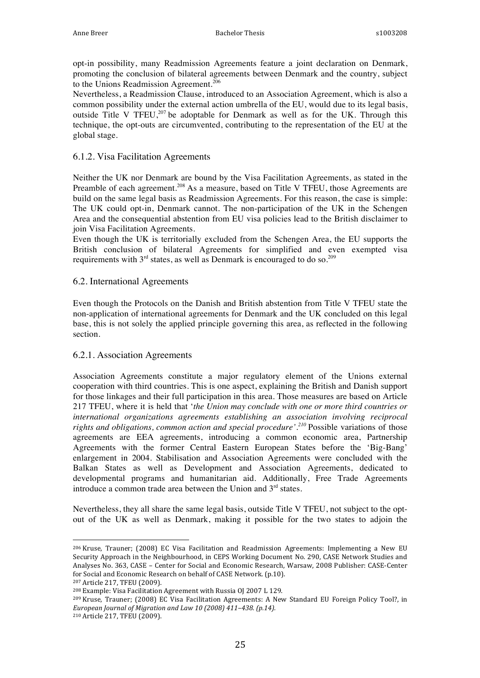opt-in possibility, many Readmission Agreements feature a joint declaration on Denmark, promoting the conclusion of bilateral agreements between Denmark and the country, subject to the Unions Readmission Agreement.<sup>206</sup>

Nevertheless, a Readmission Clause, introduced to an Association Agreement, which is also a common possibility under the external action umbrella of the EU, would due to its legal basis, outside Title V TFEU,<sup>207</sup> be adoptable for Denmark as well as for the UK. Through this technique, the opt-outs are circumvented, contributing to the representation of the EU at the global stage.

#### 6.1.2. Visa Facilitation Agreements

Neither the UK nor Denmark are bound by the Visa Facilitation Agreements, as stated in the Preamble of each agreement.<sup>208</sup> As a measure, based on Title V TFEU, those Agreements are build on the same legal basis as Readmission Agreements. For this reason, the case is simple: The UK could opt-in, Denmark cannot. The non-participation of the UK in the Schengen Area and the consequential abstention from EU visa policies lead to the British disclaimer to join Visa Facilitation Agreements.

Even though the UK is territorially excluded from the Schengen Area, the EU supports the British conclusion of bilateral Agreements for simplified and even exempted visa requirements with  $3<sup>rd</sup>$  states, as well as Denmark is encouraged to do so.<sup>209</sup>

#### 6.2. International Agreements

Even though the Protocols on the Danish and British abstention from Title V TFEU state the non-application of international agreements for Denmark and the UK concluded on this legal base, this is not solely the applied principle governing this area, as reflected in the following section.

#### 6.2.1. Association Agreements

Association Agreements constitute a major regulatory element of the Unions external cooperation with third countries. This is one aspect, explaining the British and Danish support for those linkages and their full participation in this area. Those measures are based on Article 217 TFEU, where it is held that '*the Union may conclude with one or more third countries or international organizations agreements establishing an association involving reciprocal rights and obligations, common action and special procedure'.<sup>210</sup>* Possible variations of those agreements are EEA agreements, introducing a common economic area, Partnership Agreements with the former Central Eastern European States before the 'Big-Bang' enlargement in 2004. Stabilisation and Association Agreements were concluded with the Balkan States as well as Development and Association Agreements, dedicated to developmental programs and humanitarian aid. Additionally, Free Trade Agreements introduce a common trade area between the Union and  $3<sup>rd</sup>$  states.

Nevertheless, they all share the same legal basis, outside Title V TFEU, not subject to the optout of the UK as well as Denmark, making it possible for the two states to adjoin the

 

<sup>209</sup> Kruse, Trauner; (2008) EC Visa Facilitation Agreements: A New Standard EU Foreign Policy Tool?, in *European Journal of Migration and Law 10 (2008) 411-438. (p.14).* 

<sup>&</sup>lt;sup>206</sup> Kruse, Trauner; (2008) EC Visa Facilitation and Readmission Agreements: Implementing a New EU Security Approach in the Neighbourhood, in CEPS Working Document No. 290, CASE Network Studies and Analyses No. 363, CASE - Center for Social and Economic Research, Warsaw, 2008 Publisher: CASE-Center for Social and Economic Research on behalf of CASE Network. (p.10).

<sup>207</sup> Article 217, TFEU (2009).

<sup>&</sup>lt;sup>208</sup> Example: Visa Facilitation Agreement with Russia OJ 2007 L 129.

<sup>210</sup> Article 217, TFEU (2009).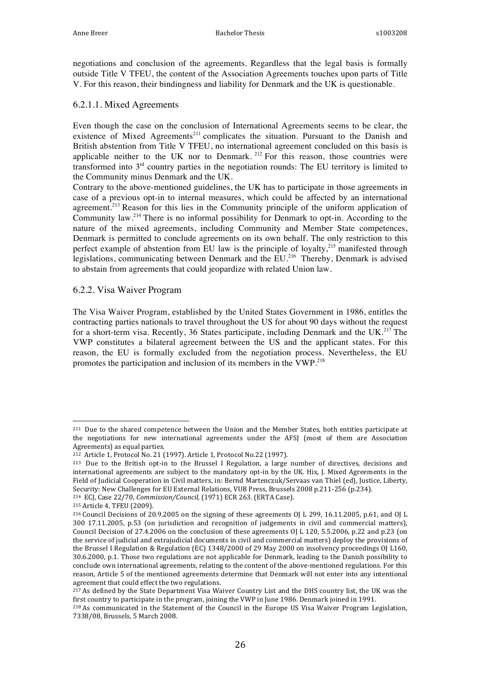negotiations and conclusion of the agreements. Regardless that the legal basis is formally outside Title V TFEU, the content of the Association Agreements touches upon parts of Title V. For this reason, their bindingness and liability for Denmark and the UK is questionable.

#### 6.2.1.1. Mixed Agreements

Even though the case on the conclusion of International Agreements seems to be clear, the existence of Mixed Agreements<sup>211</sup> complicates the situation. Pursuant to the Danish and British abstention from Title V TFEU, no international agreement concluded on this basis is applicable neither to the UK nor to Denmark.<sup>212</sup> For this reason, those countries were transformed into 3rd country parties in the negotiation rounds: The EU territory is limited to the Community minus Denmark and the UK.

Contrary to the above-mentioned guidelines, the UK has to participate in those agreements in case of a previous opt-in to internal measures, which could be affected by an international agreement.<sup>213</sup> Reason for this lies in the Community principle of the uniform application of Community law.<sup>214</sup> There is no informal possibility for Denmark to opt-in. According to the nature of the mixed agreements, including Community and Member State competences, Denmark is permitted to conclude agreements on its own behalf. The only restriction to this perfect example of abstention from EU law is the principle of loyalty,<sup>215</sup> manifested through legislations, communicating between Denmark and the EU.<sup>216</sup> Thereby, Denmark is advised to abstain from agreements that could jeopardize with related Union law.

#### 6.2.2. Visa Waiver Program

 

The Visa Waiver Program, established by the United States Government in 1986, entitles the contracting parties nationals to travel throughout the US for about 90 days without the request for a short-term visa. Recently, 36 States participate, including Denmark and the UK.<sup>217</sup> The VWP constitutes a bilateral agreement between the US and the applicant states. For this reason, the EU is formally excluded from the negotiation process. Nevertheless, the EU promotes the participation and inclusion of its members in the VWP.<sup>218</sup>

<sup>214</sup> ECJ, Case 22/70, *Commission/Council*, (1971) ECR 263. (ERTA Case).

<sup>&</sup>lt;sup>211</sup> Due to the shared competence between the Union and the Member States, both entities participate at the negotiations for new international agreements under the AFSJ (most of them are Association Agreements) as equal parties.

<sup>&</sup>lt;sup>212</sup> Article 1, Protocol No. 21 (1997). Article 1, Protocol No.22 (1997).

<sup>&</sup>lt;sup>213</sup> Due to the British opt-in to the Brussel I Regulation, a large number of directives, decisions and international agreements are subject to the mandatory opt-in by the UK. Hix, J. Mixed Agreements in the Field of Judicial Cooperation in Civil matters, in: Bernd Martenczuk/Servaas van Thiel (ed), Justice, Liberty, Security: New Challenges for EU External Relations, VUB Press, Brussels 2008 p.211-256 (p.234).

<sup>215</sup> Article 4, TFEU (2009).

 $216$  Council Decisions of 20.9.2005 on the signing of these agreements OJ L 299, 16.11.2005, p.61, and OJ L 300 17.11.2005, p.53 (on jurisdiction and recognition of judgements in civil and commercial matters), Council Decision of 27.4.2006 on the conclusion of these agreements  $O<sub>l</sub>$  L 120, 5.5.2006, p.22 and p.23 (on the service of judicial and extrajudicial documents in civil and commercial matters) deploy the provisions of the Brussel I Regulation & Regulation (EC) 1348/2000 of 29 May 2000 on insolvency proceedings OJ L160, 30.6.2000, p.1. Those two regulations are not applicable for Denmark, leading to the Danish possibility to conclude own international agreements, relating to the content of the above-mentioned regulations. For this reason, Article 5 of the mentioned agreements determine that Denmark will not enter into any intentional agreement that could effect the two regulations.

<sup>&</sup>lt;sup>217</sup> As defined by the State Department Visa Waiver Country List and the DHS country list, the UK was the first country to participate in the program, joining the VWP in June 1986. Denmark joined in 1991.

<sup>&</sup>lt;sup>218</sup> As communicated in the Statement of the Council in the Europe US Visa Waiver Program Legislation, 7338/08, Brussels, 5 March 2008.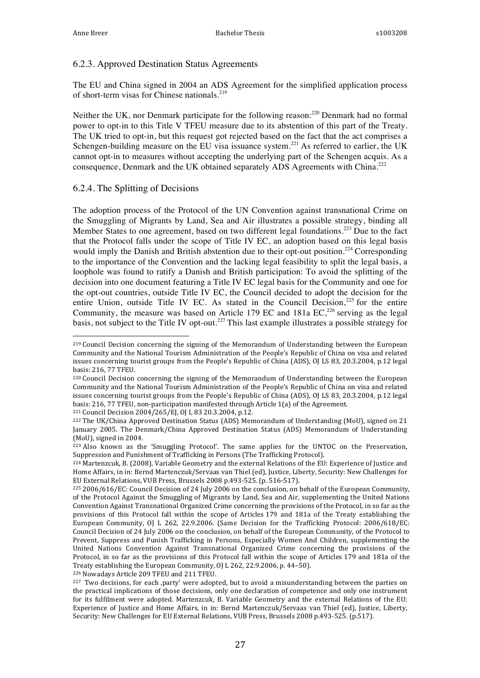#### 6.2.3. Approved Destination Status Agreements

The EU and China signed in 2004 an ADS Agreement for the simplified application process of short-term visas for Chinese nationals.<sup>219</sup>

Neither the UK, nor Denmark participate for the following reason:<sup>220</sup> Denmark had no formal power to opt-in to this Title V TFEU measure due to its abstention of this part of the Treaty. The UK tried to opt-in, but this request got rejected based on the fact that the act comprises a Schengen-building measure on the EU visa issuance system.<sup>221</sup> As referred to earlier, the UK cannot opt-in to measures without accepting the underlying part of the Schengen acquis. As a consequence, Denmark and the UK obtained separately ADS Agreements with China.<sup>222</sup>

#### 6.2.4. The Splitting of Decisions

 

The adoption process of the Protocol of the UN Convention against transnational Crime on the Smuggling of Migrants by Land, Sea and Air illustrates a possible strategy, binding all Member States to one agreement, based on two different legal foundations.<sup>223</sup> Due to the fact that the Protocol falls under the scope of Title IV EC, an adoption based on this legal basis would imply the Danish and British abstention due to their opt-out position.<sup>224</sup> Corresponding to the importance of the Convention and the lacking legal feasibility to split the legal basis, a loophole was found to ratify a Danish and British participation: To avoid the splitting of the decision into one document featuring a Title IV EC legal basis for the Community and one for the opt-out countries, outside Title IV EC, the Council decided to adopt the decision for the entire Union, outside Title IV EC. As stated in the Council Decision, $225$  for the entire Community, the measure was based on Article 179 EC and 181a EC,<sup>226</sup> serving as the legal basis, not subject to the Title IV opt-out.<sup>227</sup> This last example illustrates a possible strategy for

<sup>221</sup> Council Decision 2004/265/EJ, 0J L 83 20.3.2004, p.12.

<sup>226</sup> Nowadays Article 209 TFEU and 211 TFEU.

<sup>&</sup>lt;sup>219</sup> Council Decision concerning the signing of the Memorandum of Understanding between the European Community and the National Tourism Administration of the People's Republic of China on visa and related issues concerning tourist groups from the People's Republic of China (ADS), OJ LS 83, 20.3.2004, p.12 legal basis: 216, 77 TFEU.

<sup>&</sup>lt;sup>220</sup> Council Decision concerning the signing of the Memorandum of Understanding between the European Community and the National Tourism Administration of the People's Republic of China on visa and related issues concerning tourist groups from the People's Republic of China (ADS), OJ LS 83, 20.3.2004, p.12 legal basis: 216, 77 TFEU, non-participation manifested through Article 1(a) of the Agreement.

 $222$  The UK/China Approved Destination Status (ADS) Memorandum of Understanding (MoU), signed on 21 January 2005. The Denmark/China Approved Destination Status (ADS) Memorandum of Understanding  $(MoU)$ , signed in 2004.

<sup>&</sup>lt;sup>223</sup> Also known as the 'Smuggling Protocol'. The same applies for the UNTOC on the Preservation, Suppression and Punishment of Trafficking in Persons (The Trafficking Protocol).

<sup>224</sup> Martenzcuk, B. (2008). Variable Geometry and the external Relations of the EU: Experience of Justice and Home Affairs, in in: Bernd Martenczuk/Servaas van Thiel (ed), Justice, Liberty, Security: New Challenges for EU External Relations, VUB Press, Brussels 2008 p.493-525. (p. 516-517).

<sup>&</sup>lt;sup>225</sup> 2006/616/EC: Council Decision of 24 July 2006 on the conclusion, on behalf of the European Community, of the Protocol Against the Smuggling of Migrants by Land, Sea and Air, supplementing the United Nations Convention Against Transnational Organized Crime concerning the provisions of the Protocol, in so far as the provisions of this Protocol fall within the scope of Articles 179 and 181a of the Treaty establishing the European Community, OJ L 262, 22.9.2006. (Same Decision for the Trafficking Protocol: 2006/618/EC: Council Decision of 24 July 2006 on the conclusion, on behalf of the European Community, of the Protocol to Prevent, Suppress and Punish Trafficking in Persons, Especially Women And Children, supplementing the United Nations Convention Against Transnational Organized Crime concerning the provisions of the Protocol, in so far as the provisions of this Protocol fall within the scope of Articles 179 and 181a of the Treaty establishing the European Community, OJ L 262, 22.9.2006, p. 44-50).

<sup>&</sup>lt;sup>227</sup> Two decisions, for each ,party' were adopted, but to avoid a misunderstanding between the parties on the practical implications of those decisions, only one declaration of competence and only one instrument for its fulfilment were adopted. Martenzcuk, B. Variable Geometry and the external Relations of the EU: Experience of Justice and Home Affairs, in in: Bernd Martenczuk/Servaas van Thiel (ed), Justice, Liberty, Security: New Challenges for EU External Relations, VUB Press, Brussels 2008 p.493-525. (p.517).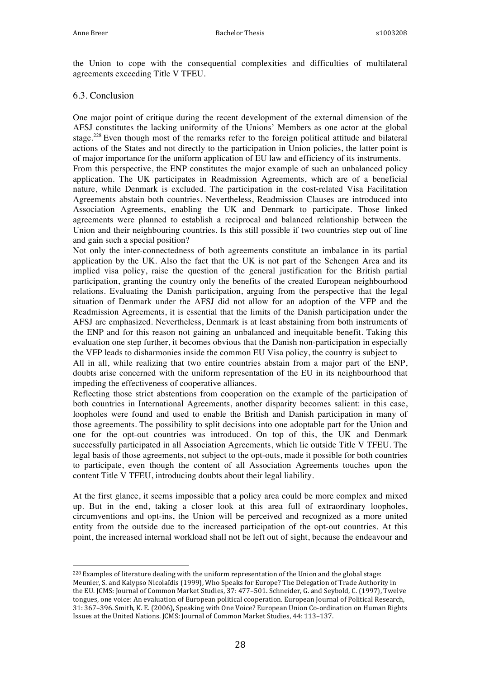the Union to cope with the consequential complexities and difficulties of multilateral agreements exceeding Title V TFEU.

#### 6.3. Conclusion

One major point of critique during the recent development of the external dimension of the AFSJ constitutes the lacking uniformity of the Unions' Members as one actor at the global stage.<sup>228</sup> Even though most of the remarks refer to the foreign political attitude and bilateral actions of the States and not directly to the participation in Union policies, the latter point is of major importance for the uniform application of EU law and efficiency of its instruments. From this perspective, the ENP constitutes the major example of such an unbalanced policy application. The UK participates in Readmission Agreements, which are of a beneficial nature, while Denmark is excluded. The participation in the cost-related Visa Facilitation Agreements abstain both countries. Nevertheless, Readmission Clauses are introduced into Association Agreements, enabling the UK and Denmark to participate. Those linked agreements were planned to establish a reciprocal and balanced relationship between the Union and their neighbouring countries. Is this still possible if two countries step out of line and gain such a special position?

Not only the inter-connectedness of both agreements constitute an imbalance in its partial application by the UK. Also the fact that the UK is not part of the Schengen Area and its implied visa policy, raise the question of the general justification for the British partial participation, granting the country only the benefits of the created European neighbourhood relations. Evaluating the Danish participation, arguing from the perspective that the legal situation of Denmark under the AFSJ did not allow for an adoption of the VFP and the Readmission Agreements, it is essential that the limits of the Danish participation under the AFSJ are emphasized. Nevertheless, Denmark is at least abstaining from both instruments of the ENP and for this reason not gaining an unbalanced and inequitable benefit. Taking this evaluation one step further, it becomes obvious that the Danish non-participation in especially the VFP leads to disharmonies inside the common EU Visa policy, the country is subject to

All in all, while realizing that two entire countries abstain from a major part of the ENP, doubts arise concerned with the uniform representation of the EU in its neighbourhood that impeding the effectiveness of cooperative alliances.

Reflecting those strict abstentions from cooperation on the example of the participation of both countries in International Agreements, another disparity becomes salient: in this case, loopholes were found and used to enable the British and Danish participation in many of those agreements. The possibility to split decisions into one adoptable part for the Union and one for the opt-out countries was introduced. On top of this, the UK and Denmark successfully participated in all Association Agreements, which lie outside Title V TFEU. The legal basis of those agreements, not subject to the opt-outs, made it possible for both countries to participate, even though the content of all Association Agreements touches upon the content Title V TFEU, introducing doubts about their legal liability.

At the first glance, it seems impossible that a policy area could be more complex and mixed up. But in the end, taking a closer look at this area full of extraordinary loopholes, circumventions and opt-ins, the Union will be perceived and recognized as a more united entity from the outside due to the increased participation of the opt-out countries. At this point, the increased internal workload shall not be left out of sight, because the endeavour and

 $^{228}$  Examples of literature dealing with the uniform representation of the Union and the global stage: Meunier, S. and Kalypso Nicolaïdis (1999), Who Speaks for Europe? The Delegation of Trade Authority in the EU. JCMS: Journal of Common Market Studies, 37: 477-501. Schneider, G. and Seybold, C. (1997), Twelve tongues, one voice: An evaluation of European political cooperation. European Journal of Political Research, 31: 367-396. Smith, K. E. (2006), Speaking with One Voice? European Union Co-ordination on Human Rights Issues at the United Nations. JCMS: Journal of Common Market Studies, 44: 113-137.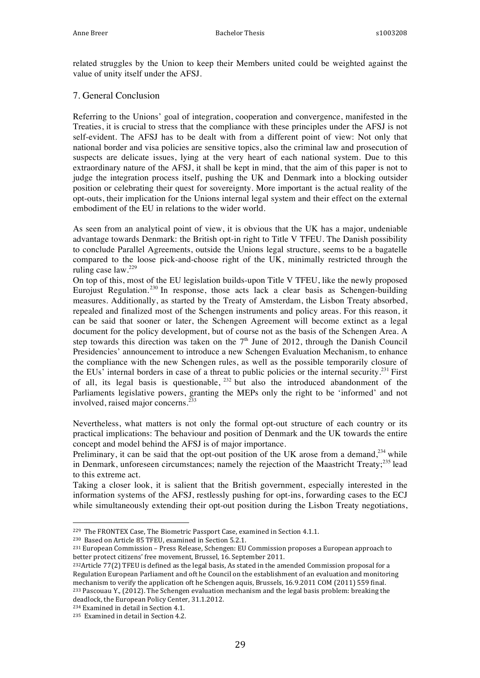related struggles by the Union to keep their Members united could be weighted against the value of unity itself under the AFSJ.

#### 7. General Conclusion

Referring to the Unions' goal of integration, cooperation and convergence, manifested in the Treaties, it is crucial to stress that the compliance with these principles under the AFSJ is not self-evident. The AFSJ has to be dealt with from a different point of view: Not only that national border and visa policies are sensitive topics, also the criminal law and prosecution of suspects are delicate issues, lying at the very heart of each national system. Due to this extraordinary nature of the AFSJ, it shall be kept in mind, that the aim of this paper is not to judge the integration process itself, pushing the UK and Denmark into a blocking outsider position or celebrating their quest for sovereignty. More important is the actual reality of the opt-outs, their implication for the Unions internal legal system and their effect on the external embodiment of the EU in relations to the wider world.

As seen from an analytical point of view, it is obvious that the UK has a major, undeniable advantage towards Denmark: the British opt-in right to Title V TFEU. The Danish possibility to conclude Parallel Agreements, outside the Unions legal structure, seems to be a bagatelle compared to the loose pick-and-choose right of the UK, minimally restricted through the ruling case law.<sup>229</sup>

On top of this, most of the EU legislation builds-upon Title V TFEU, like the newly proposed Eurojust Regulation.<sup>230</sup> In response, those acts lack a clear basis as Schengen-building measures. Additionally, as started by the Treaty of Amsterdam, the Lisbon Treaty absorbed, repealed and finalized most of the Schengen instruments and policy areas. For this reason, it can be said that sooner or later, the Schengen Agreement will become extinct as a legal document for the policy development, but of course not as the basis of the Schengen Area. A step towards this direction was taken on the  $7<sup>th</sup>$  June of 2012, through the Danish Council Presidencies' announcement to introduce a new Schengen Evaluation Mechanism, to enhance the compliance with the new Schengen rules, as well as the possible temporarily closure of the EUs' internal borders in case of a threat to public policies or the internal security.<sup>231</sup> First of all, its legal basis is questionable,  $^{232}$  but also the introduced abandonment of the Parliaments legislative powers, granting the MEPs only the right to be 'informed' and not involved, raised major concerns.<sup>233</sup>

Nevertheless, what matters is not only the formal opt-out structure of each country or its practical implications: The behaviour and position of Denmark and the UK towards the entire concept and model behind the AFSJ is of major importance.

Preliminary, it can be said that the opt-out position of the UK arose from a demand.<sup>234</sup> while in Denmark, unforeseen circumstances; namely the rejection of the Maastricht Treaty;<sup>235</sup> lead to this extreme act.

Taking a closer look, it is salient that the British government, especially interested in the information systems of the AFSJ, restlessly pushing for opt-ins, forwarding cases to the ECJ while simultaneously extending their opt-out position during the Lisbon Treaty negotiations,

<sup>230</sup> Based on Article 85 TFEU, examined in Section 5.2.1.

 $231$  European Commission – Press Release, Schengen: EU Commission proposes a European approach to better protect citizens' free movement, Brussel, 16. September 2011.

 $232$ Article  $77(2)$  TFEU is defined as the legal basis, As stated in the amended Commission proposal for a Regulation European Parliament and oft he Council on the establishment of an evaluation and monitoring mechanism to verify the application oft he Schengen aquis, Brussels, 16.9.2011 COM (2011) 559 final. 233 Pascouau Y., (2012). The Schengen evaluation mechanism and the legal basis problem: breaking the deadlock, the European Policy Center, 31.1.2012.

<sup>234</sup> Examined in detail in Section 4.1.

<sup>&</sup>lt;sup>229</sup> The FRONTEX Case, The Biometric Passport Case, examined in Section 4.1.1.

<sup>&</sup>lt;sup>235</sup> Examined in detail in Section 4.2.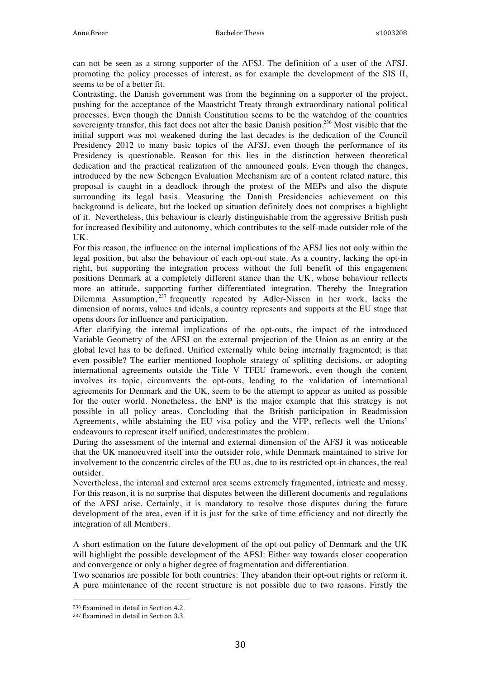can not be seen as a strong supporter of the AFSJ. The definition of a user of the AFSJ, promoting the policy processes of interest, as for example the development of the SIS II, seems to be of a better fit.

Contrasting, the Danish government was from the beginning on a supporter of the project, pushing for the acceptance of the Maastricht Treaty through extraordinary national political processes. Even though the Danish Constitution seems to be the watchdog of the countries sovereignty transfer, this fact does not alter the basic Danish position.<sup>236</sup> Most visible that the initial support was not weakened during the last decades is the dedication of the Council Presidency 2012 to many basic topics of the AFSJ, even though the performance of its Presidency is questionable. Reason for this lies in the distinction between theoretical dedication and the practical realization of the announced goals. Even though the changes, introduced by the new Schengen Evaluation Mechanism are of a content related nature, this proposal is caught in a deadlock through the protest of the MEPs and also the dispute surrounding its legal basis. Measuring the Danish Presidencies achievement on this background is delicate, but the locked up situation definitely does not comprises a highlight of it. Nevertheless, this behaviour is clearly distinguishable from the aggressive British push for increased flexibility and autonomy, which contributes to the self-made outsider role of the UK.

For this reason, the influence on the internal implications of the AFSJ lies not only within the legal position, but also the behaviour of each opt-out state. As a country, lacking the opt-in right, but supporting the integration process without the full benefit of this engagement positions Denmark at a completely different stance than the UK, whose behaviour reflects more an attitude, supporting further differentiated integration. Thereby the Integration Dilemma Assumption,<sup>237</sup> frequently repeated by Adler-Nissen in her work, lacks the dimension of norms, values and ideals, a country represents and supports at the EU stage that opens doors for influence and participation.

After clarifying the internal implications of the opt-outs, the impact of the introduced Variable Geometry of the AFSJ on the external projection of the Union as an entity at the global level has to be defined. Unified externally while being internally fragmented; is that even possible? The earlier mentioned loophole strategy of splitting decisions, or adopting international agreements outside the Title V TFEU framework, even though the content involves its topic, circumvents the opt-outs, leading to the validation of international agreements for Denmark and the UK, seem to be the attempt to appear as united as possible for the outer world. Nonetheless, the ENP is the major example that this strategy is not possible in all policy areas. Concluding that the British participation in Readmission Agreements, while abstaining the EU visa policy and the VFP, reflects well the Unions' endeavours to represent itself unified, underestimates the problem.

During the assessment of the internal and external dimension of the AFSJ it was noticeable that the UK manoeuvred itself into the outsider role, while Denmark maintained to strive for involvement to the concentric circles of the EU as, due to its restricted opt-in chances, the real outsider.

Nevertheless, the internal and external area seems extremely fragmented, intricate and messy. For this reason, it is no surprise that disputes between the different documents and regulations of the AFSJ arise. Certainly, it is mandatory to resolve those disputes during the future development of the area, even if it is just for the sake of time efficiency and not directly the integration of all Members.

A short estimation on the future development of the opt-out policy of Denmark and the UK will highlight the possible development of the AFSJ: Either way towards closer cooperation and convergence or only a higher degree of fragmentation and differentiation.

Two scenarios are possible for both countries: They abandon their opt-out rights or reform it. A pure maintenance of the recent structure is not possible due to two reasons. Firstly the

 <sup>236</sup> Examined in detail in Section 4.2.

<sup>&</sup>lt;sup>237</sup> Examined in detail in Section 3.3.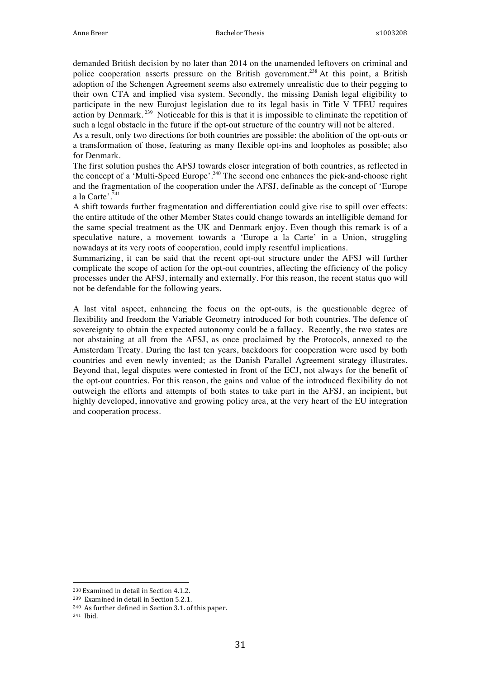demanded British decision by no later than 2014 on the unamended leftovers on criminal and police cooperation asserts pressure on the British government.<sup>238</sup> At this point, a British adoption of the Schengen Agreement seems also extremely unrealistic due to their pegging to their own CTA and implied visa system. Secondly, the missing Danish legal eligibility to participate in the new Eurojust legislation due to its legal basis in Title V TFEU requires action by Denmark.<sup>239</sup> Noticeable for this is that it is impossible to eliminate the repetition of such a legal obstacle in the future if the opt-out structure of the country will not be altered.

As a result, only two directions for both countries are possible: the abolition of the opt-outs or a transformation of those, featuring as many flexible opt-ins and loopholes as possible; also for Denmark.

The first solution pushes the AFSJ towards closer integration of both countries, as reflected in the concept of a 'Multi-Speed Europe'.<sup>240</sup> The second one enhances the pick-and-choose right and the fragmentation of the cooperation under the AFSJ, definable as the concept of 'Europe a la Carte'. $^{241}$ 

A shift towards further fragmentation and differentiation could give rise to spill over effects: the entire attitude of the other Member States could change towards an intelligible demand for the same special treatment as the UK and Denmark enjoy. Even though this remark is of a speculative nature, a movement towards a 'Europe a la Carte' in a Union, struggling nowadays at its very roots of cooperation, could imply resentful implications.

Summarizing, it can be said that the recent opt-out structure under the AFSJ will further complicate the scope of action for the opt-out countries, affecting the efficiency of the policy processes under the AFSJ, internally and externally. For this reason, the recent status quo will not be defendable for the following years.

A last vital aspect, enhancing the focus on the opt-outs, is the questionable degree of flexibility and freedom the Variable Geometry introduced for both countries. The defence of sovereignty to obtain the expected autonomy could be a fallacy. Recently, the two states are not abstaining at all from the AFSJ, as once proclaimed by the Protocols, annexed to the Amsterdam Treaty. During the last ten years, backdoors for cooperation were used by both countries and even newly invented; as the Danish Parallel Agreement strategy illustrates. Beyond that, legal disputes were contested in front of the ECJ, not always for the benefit of the opt-out countries. For this reason, the gains and value of the introduced flexibility do not outweigh the efforts and attempts of both states to take part in the AFSJ, an incipient, but highly developed, innovative and growing policy area, at the very heart of the EU integration and cooperation process.

 <sup>238</sup> Examined in detail in Section 4.1.2.

<sup>&</sup>lt;sup>239</sup> Examined in detail in Section 5.2.1.

<sup>&</sup>lt;sup>240</sup> As further defined in Section 3.1. of this paper.

<sup>241</sup> Ibid.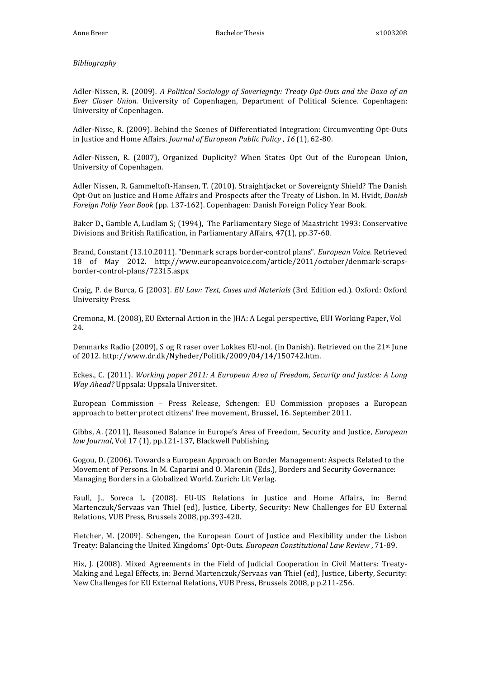#### *Bibliography*

Adler-Nissen, R. (2009). *A Political Sociology of Soveriegnty: Treaty Opt-Outs and the Doxa of an Ever Closer Union.* University of Copenhagen, Department of Political Science. Copenhagen: University of Copenhagen.

Adler-Nisse, R. (2009). Behind the Scenes of Differentiated Integration: Circumventing Opt-Outs in Justice and Home Affairs. *Journal of European Public Policy* , 16<sup>(1)</sup>, 62-80.

Adler-Nissen, R. (2007), Organized Duplicity? When States Opt Out of the European Union, University of Copenhagen.

Adler Nissen, R. Gammeltoft-Hansen, T. (2010). Straightjacket or Sovereignty Shield? The Danish Opt-Out on Justice and Home Affairs and Prospects after the Treaty of Lisbon. In M. Hvidt, *Danish Foreign Poliy Year Book* (pp. 137-162). Copenhagen: Danish Foreign Policy Year Book.

Baker D., Gamble A, Ludlam S; (1994), The Parliamentary Siege of Maastricht 1993: Conservative Divisions and British Ratification, in Parliamentary Affairs, 47(1), pp.37-60.

Brand, Constant (13.10.2011). "Denmark scraps border-control plans". *European Voice*. Retrieved 18 of May 2012. http://www.europeanvoice.com/article/2011/october/denmark-scrapsborder-control-plans/72315.aspx

Craig, P. de Burca, G (2003). *EU Law: Text, Cases and Materials* (3rd Edition ed.). Oxford: Oxford University Press.

Cremona, M. (2008), EU External Action in the JHA: A Legal perspective, EUI Working Paper, Vol 24. 

Denmarks Radio (2009), S og R raser over Lokkes EU-nol. (in Danish). Retrieved on the  $21^{st}$  June of 2012. http://www.dr.dk/Nyheder/Politik/2009/04/14/150742.htm.

Eckes., C. (2011). *Working paper 2011: A European Area of Freedom, Security and Justice: A Long Way Ahead?* Uppsala: Uppsala Universitet.

European Commission - Press Release, Schengen: EU Commission proposes a European approach to better protect citizens' free movement, Brussel, 16. September 2011.

Gibbs, A. (2011), Reasoned Balance in Europe's Area of Freedom, Security and Justice, *European* law Journal, Vol 17 (1), pp.121-137, Blackwell Publishing.

Gogou, D. (2006). Towards a European Approach on Border Management: Aspects Related to the Movement of Persons. In M. Caparini and O. Marenin (Eds.), Borders and Security Governance: Managing Borders in a Globalized World. Zurich: Lit Verlag.

Faull, J., Soreca L. (2008). EU-US Relations in Justice and Home Affairs, in: Bernd Martenczuk/Servaas van Thiel (ed), Justice, Liberty, Security: New Challenges for EU External Relations, VUB Press, Brussels 2008, pp.393-420.

Fletcher, M. (2009). Schengen, the European Court of Justice and Flexibility under the Lisbon Treaty: Balancing the United Kingdoms' Opt-Outs. *European Constitutional Law Review* , 71-89.

Hix, J. (2008). Mixed Agreements in the Field of Judicial Cooperation in Civil Matters: Treaty-Making and Legal Effects, in: Bernd Martenczuk/Servaas van Thiel (ed), Justice, Liberty, Security: New Challenges for EU External Relations, VUB Press, Brussels 2008, p p.211-256.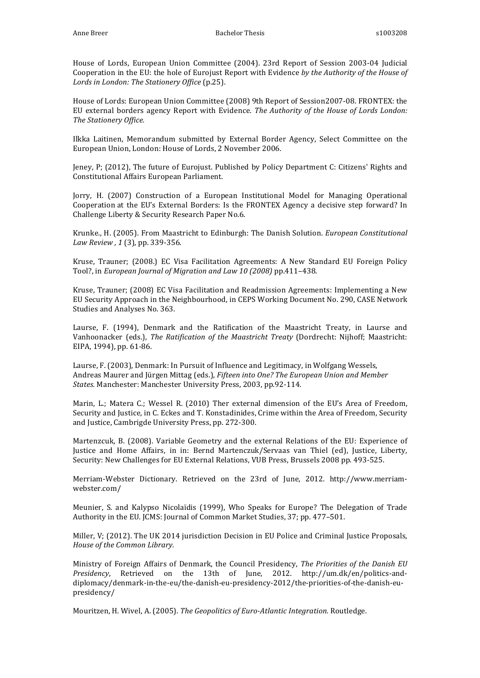House of Lords, European Union Committee (2004). 23rd Report of Session 2003-04 Judicial Cooperation in the EU: the hole of Eurojust Report with Evidence by the Authority of the House of Lords in London: The Stationery Office (p.25).

House of Lords: European Union Committee (2008) 9th Report of Session2007-08. FRONTEX: the EU external borders agency Report with Evidence. *The Authority of the House of Lords London: The Stationery Office.*

Ilkka Laitinen, Memorandum submitted by External Border Agency, Select Committee on the European Union, London: House of Lords, 2 November 2006.

Jeney, P; (2012), The future of Eurojust. Published by Policy Department C: Citizens' Rights and Constitutional Affairs European Parliament.

Jorry, H. (2007) Construction of a European Institutional Model for Managing Operational Cooperation at the EU's External Borders: Is the FRONTEX Agency a decisive step forward? In Challenge Liberty & Security Research Paper No.6.

Krunke., H. (2005). From Maastricht to Edinburgh: The Danish Solution. *European Constitutional Law Review, 1* (3), pp. 339-356.

Kruse, Trauner; (2008.) EC Visa Facilitation Agreements: A New Standard EU Foreign Policy Tool?, in *European Journal of Miaration and Law 10 (2008)* pp.411–438.

Kruse, Trauner; (2008) EC Visa Facilitation and Readmission Agreements: Implementing a New EU Security Approach in the Neighbourhood, in CEPS Working Document No. 290, CASE Network Studies and Analyses No. 363.

Laurse, F. (1994), Denmark and the Ratification of the Maastricht Treaty, in Laurse and Vanhoonacker (eds.), *The Ratification of the Maastricht Treaty* (Dordrecht: Nijhoff; Maastricht: EIPA, 1994), pp. 61-86.

Laurse, F. (2003), Denmark: In Pursuit of Influence and Legitimacy, in Wolfgang Wessels, Andreas Maurer and Jürgen Mittag (eds.), *Fifteen into One? The European Union and Member States.* Manchester: Manchester University Press, 2003, pp.92-114.

Marin, L.; Matera C.; Wessel R. (2010) Ther external dimension of the EU's Area of Freedom, Security and Justice, in C. Eckes and T. Konstadinides, Crime within the Area of Freedom, Security and Justice, Cambrigde University Press, pp. 272-300.

Martenzcuk, B. (2008). Variable Geometry and the external Relations of the EU: Experience of Justice and Home Affairs, in in: Bernd Martenczuk/Servaas van Thiel (ed), Justice, Liberty, Security: New Challenges for EU External Relations, VUB Press, Brussels 2008 pp. 493-525.

Merriam-Webster Dictionary. Retrieved on the 23rd of June, 2012. http://www.merriamwebster.com/

Meunier, S. and Kalypso Nicolaïdis (1999), Who Speaks for Europe? The Delegation of Trade Authority in the EU. ICMS: Journal of Common Market Studies, 37; pp. 477-501.

Miller, V; (2012). The UK 2014 jurisdiction Decision in EU Police and Criminal Justice Proposals, *House of the Common Library.*

Ministry of Foreign Affairs of Denmark, the Council Presidency, *The Priorities of the Danish EU Presidency*, Retrieved on the 13th of June, 2012. http://um.dk/en/politics-anddiplomacy/denmark-in-the-eu/the-danish-eu-presidency-2012/the-priorities-of-the-danish-eupresidency/

Mouritzen, H. Wivel, A. (2005). The Geopolitics of Euro-Atlantic Integration. Routledge.